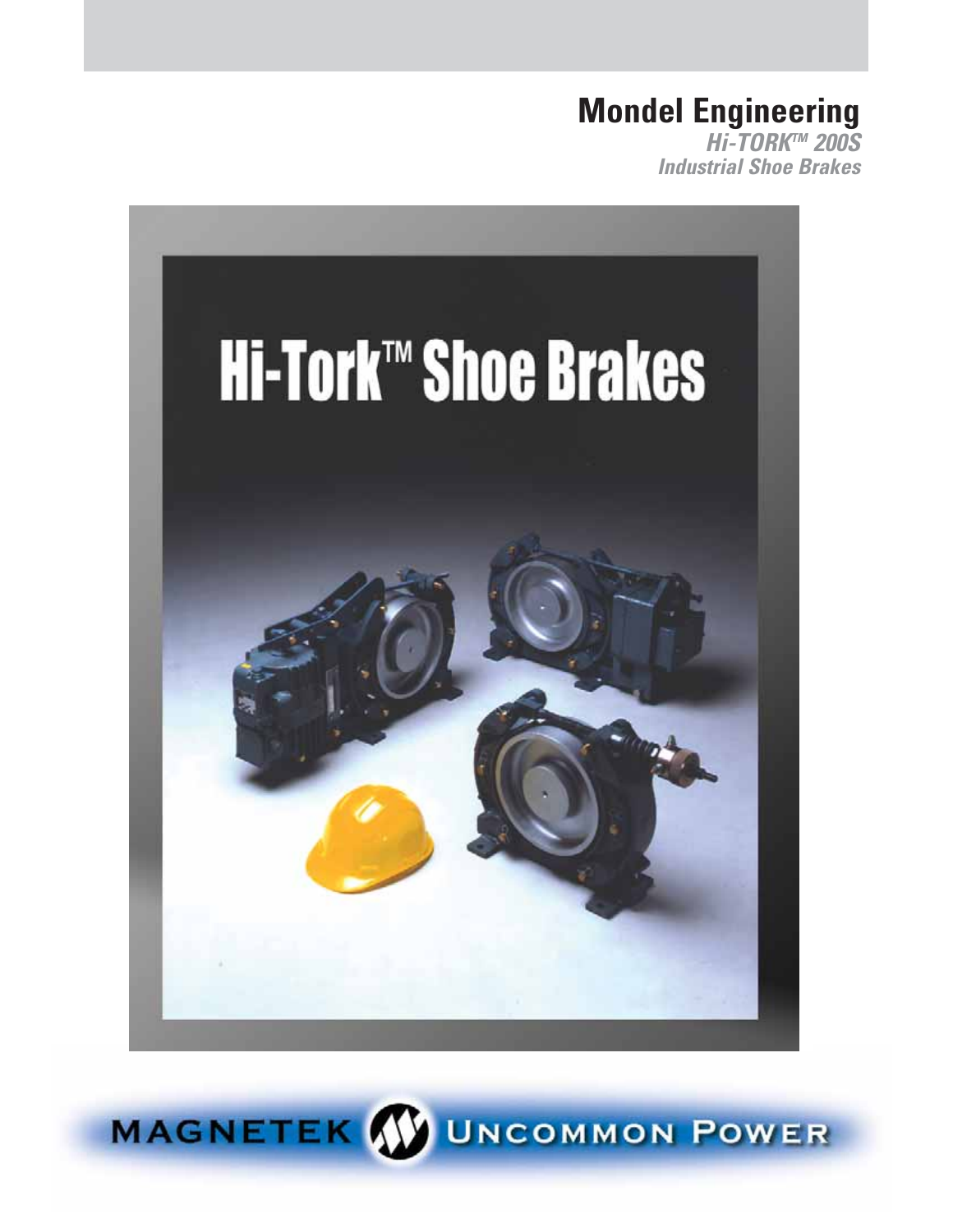### **Mondel Engineering**

**Hi-TORKTM 200S Industrial Shoe Brakes**



MAGNETEK W UNCOMMON POWER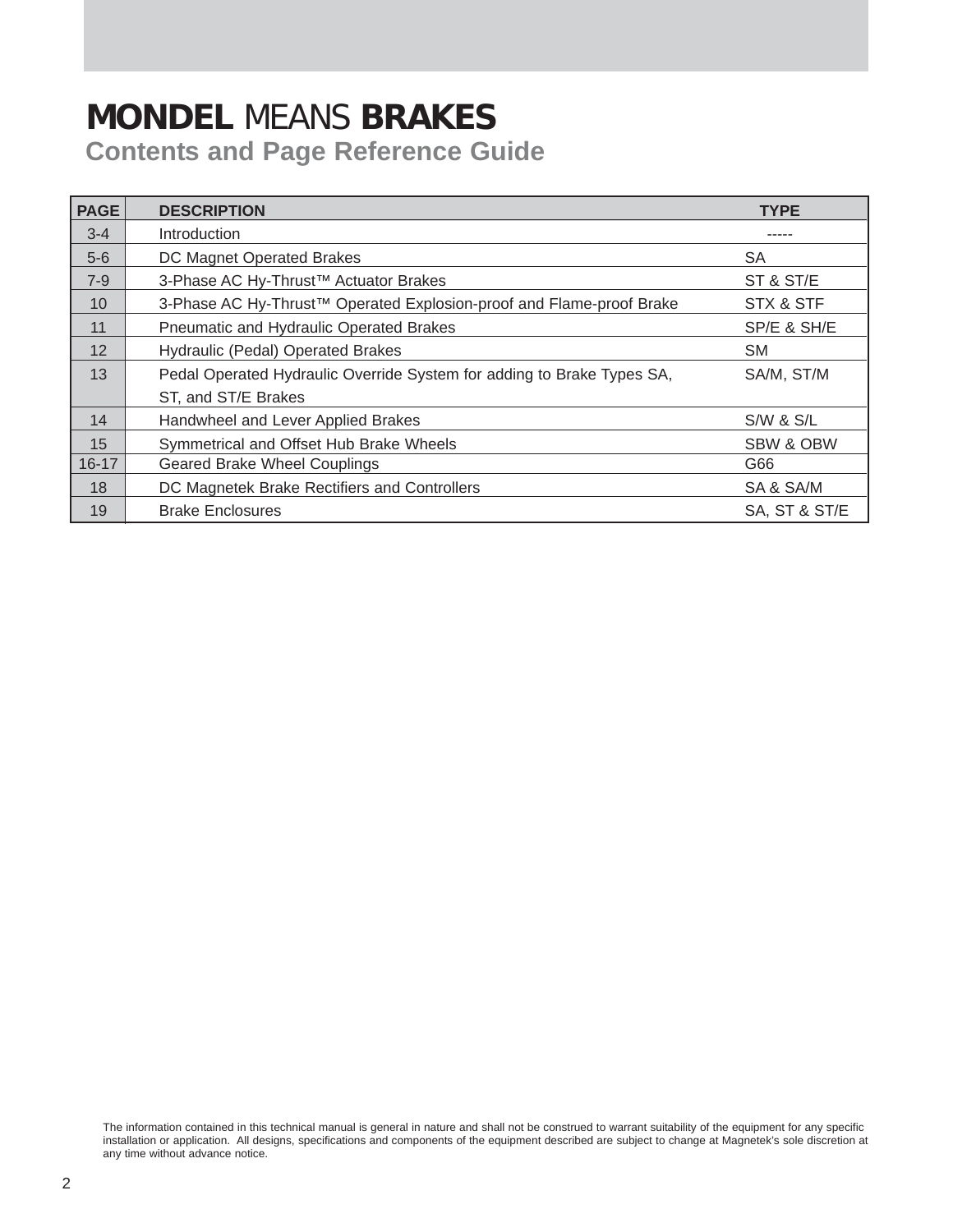### **MONDEL** MEANS **BRAKES Contents and Page Reference Guide**

| <b>PAGE</b> | <b>DESCRIPTION</b>                                                               | <b>TYPE</b>          |
|-------------|----------------------------------------------------------------------------------|----------------------|
| $3 - 4$     | Introduction                                                                     |                      |
| $5-6$       | DC Magnet Operated Brakes                                                        | SА                   |
| $7-9$       | 3-Phase AC Hy-Thrust <sup>™</sup> Actuator Brakes                                | ST & ST/E            |
| 10          | 3-Phase AC Hy-Thrust <sup>™</sup> Operated Explosion-proof and Flame-proof Brake | STX & STF            |
| 11          | Pneumatic and Hydraulic Operated Brakes                                          | SP/E & SH/E          |
| 12          | Hydraulic (Pedal) Operated Brakes                                                | <b>SM</b>            |
| 13          | Pedal Operated Hydraulic Override System for adding to Brake Types SA,           | SA/M, ST/M           |
|             | ST, and ST/E Brakes                                                              |                      |
| 14          | Handwheel and Lever Applied Brakes                                               | <b>S/W &amp; S/L</b> |
| 15          | Symmetrical and Offset Hub Brake Wheels                                          | <b>SBW &amp; OBW</b> |
| $16 - 17$   | <b>Geared Brake Wheel Couplings</b>                                              | G66                  |
| 18          | DC Magnetek Brake Rectifiers and Controllers                                     | SA & SA/M            |
| 19          | <b>Brake Enclosures</b>                                                          | SA, ST & ST/E        |

The information contained in this technical manual is general in nature and shall not be construed to warrant suitability of the equipment for any specific installation or application. All designs, specifications and components of the equipment described are subject to change at Magnetek's sole discretion at any time without advance notice.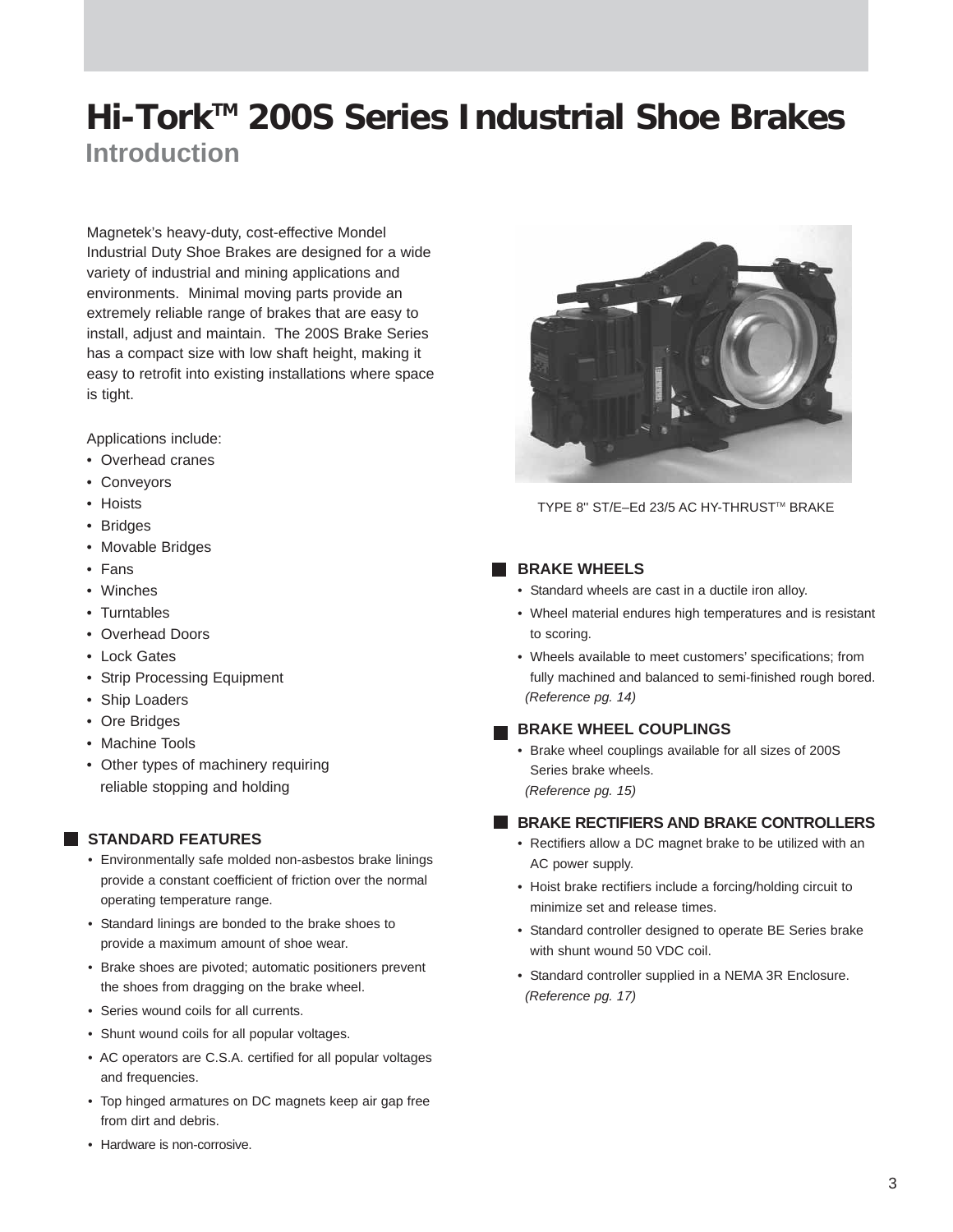### **Introduction Hi-TorkTM 200S Series Industrial Shoe Brakes**

Magnetek's heavy-duty, cost-effective Mondel Industrial Duty Shoe Brakes are designed for a wide variety of industrial and mining applications and environments. Minimal moving parts provide an extremely reliable range of brakes that are easy to install, adjust and maintain. The 200S Brake Series has a compact size with low shaft height, making it easy to retrofit into existing installations where space is tight.

Applications include:

- Overhead cranes
- Conveyors
- Hoists
- Bridges
- Movable Bridges
- Fans
- Winches
- Turntables
- Overhead Doors
- Lock Gates
- Strip Processing Equipment
- Ship Loaders
- Ore Bridges
- Machine Tools
- Other types of machinery requiring reliable stopping and holding

#### **STANDARD FEATURES**

- Environmentally safe molded non-asbestos brake linings provide a constant coefficient of friction over the normal operating temperature range.
- Standard linings are bonded to the brake shoes to provide a maximum amount of shoe wear.
- Brake shoes are pivoted; automatic positioners prevent the shoes from dragging on the brake wheel.
- Series wound coils for all currents.
- Shunt wound coils for all popular voltages.
- AC operators are C.S.A. certified for all popular voltages and frequencies.
- Top hinged armatures on DC magnets keep air gap free from dirt and debris.





TYPE 8" ST/E-Ed 23/5 AC HY-THRUST™ BRAKE

#### **BRAKE WHEELS**

- Standard wheels are cast in a ductile iron alloy.
- Wheel material endures high temperatures and is resistant to scoring.
- Wheels available to meet customers' specifications; from fully machined and balanced to semi-finished rough bored. *(Reference pg. 14)*

#### **BRAKE WHEEL COUPLINGS**

- Brake wheel couplings available for all sizes of 200S Series brake wheels.
- *(Reference pg. 15)*

#### **BRAKE RECTIFIERS AND BRAKE CONTROLLERS**

- Rectifiers allow a DC magnet brake to be utilized with an AC power supply.
- Hoist brake rectifiers include a forcing/holding circuit to minimize set and release times.
- Standard controller designed to operate BE Series brake with shunt wound 50 VDC coil.
- Standard controller supplied in a NEMA 3R Enclosure. *(Reference pg. 17)*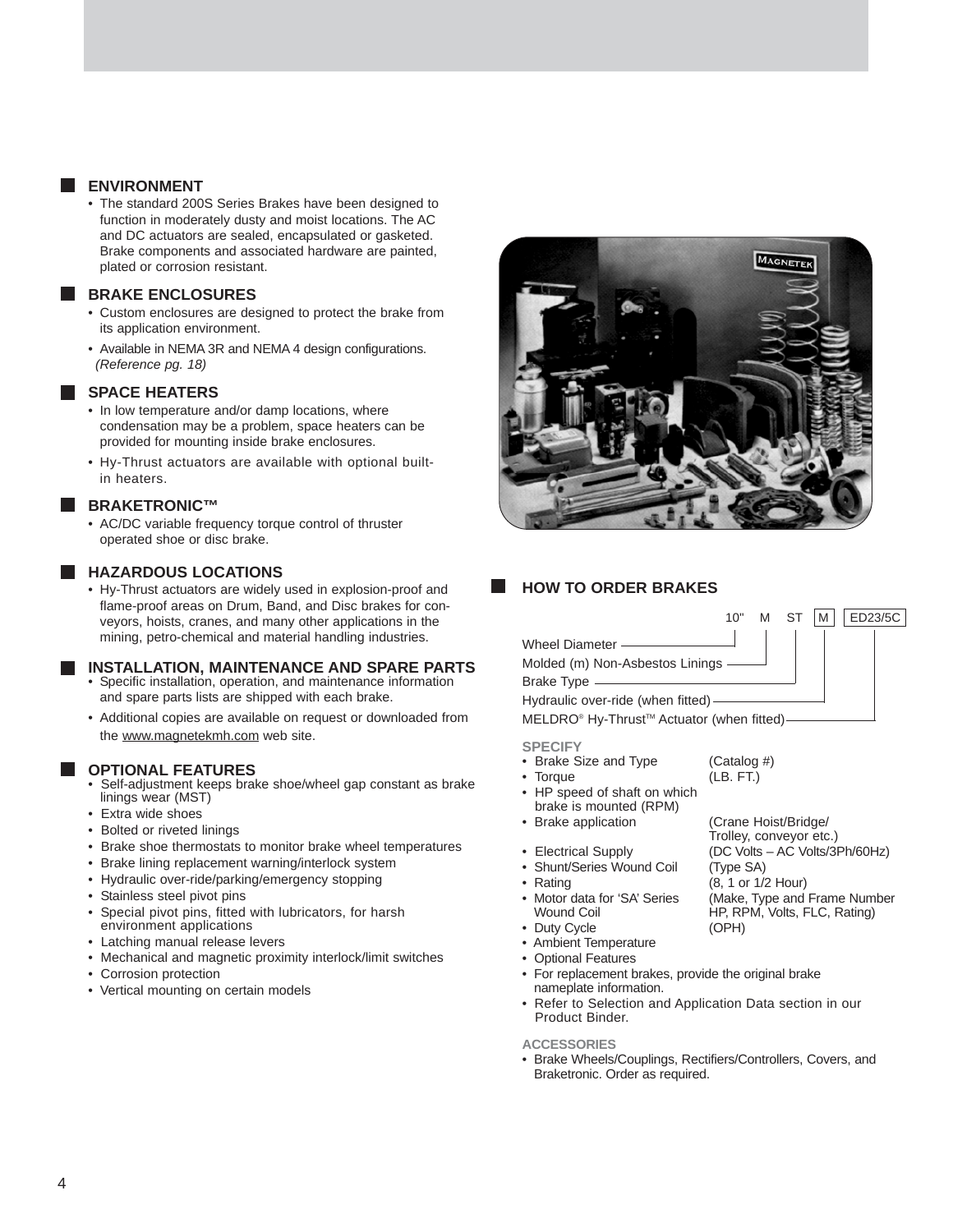#### **ENVIRONMENT**

• The standard 200S Series Brakes have been designed to function in moderately dusty and moist locations. The AC and DC actuators are sealed, encapsulated or gasketed. Brake components and associated hardware are painted, plated or corrosion resistant.

#### **BRAKE ENCLOSURES**

- Custom enclosures are designed to protect the brake from its application environment.
- Available in NEMA 3R and NEMA 4 design configurations. *(Reference pg. 18)*

#### **SPACE HEATERS**

- In low temperature and/or damp locations, where condensation may be a problem, space heaters can be provided for mounting inside brake enclosures.
- Hy-Thrust actuators are available with optional builtin heaters.

#### **BRAKETRONIC™**

• AC/DC variable frequency torque control of thruster operated shoe or disc brake.

#### **HAZARDOUS LOCATIONS**

• Hy-Thrust actuators are widely used in explosion-proof and flame-proof areas on Drum, Band, and Disc brakes for conveyors, hoists, cranes, and many other applications in the mining, petro-chemical and material handling industries.

#### **INSTALLATION, MAINTENANCE AND SPARE PARTS**

- Specific installation, operation, and maintenance information and spare parts lists are shipped with each brake.
- Additional copies are available on request or downloaded from the www.magnetekmh.com web site.

#### **OPTIONAL FEATURES**

- Self-adjustment keeps brake shoe/wheel gap constant as brake linings wear (MST)
- Extra wide shoes
- Bolted or riveted linings
- Brake shoe thermostats to monitor brake wheel temperatures
- Brake lining replacement warning/interlock system
- Hydraulic over-ride/parking/emergency stopping
- Stainless steel pivot pins
- Special pivot pins, fitted with lubricators, for harsh environment applications
- Latching manual release levers
- Mechanical and magnetic proximity interlock/limit switches
- Corrosion protection
- Vertical mounting on certain models



#### **HOW TO ORDER BRAKES**

#### Wheel Diameter -Molded (m) Non-Asbestos Linings Brake Type Hydraulic over-ride (when fitted) MELDRO<sup>®</sup> Hy-Thrust<sup>™</sup> Actuator (when fitted) 10" M ST M ED23/5C

(Crane Hoist/Bridge/ Trolley, conveyor etc.)

**SPECIFY**

- Brake Size and Type (Catalog #)
- Torque (LB. FT.) • HP speed of shaft on which
- brake is mounted (RPM)<br>• Brake application
- 
- Electrical Supply (DC Volts AC Volts/3Ph/60Hz) • Shunt/Series Wound Coil (Type SA)
- Rating (8, 1 or 1/2 Hour)
- Motor data for 'SA' Series (Make, Type and Frame Number Wound Coil **HP, RPM, Volts, FLC, Rating**)
- Duty Cycle (OPH)
- Ambient Temperature
- Optional Features
- For replacement brakes, provide the original brake nameplate information.
- Refer to Selection and Application Data section in our Product Binder.

#### **ACCESSORIES**

• Brake Wheels/Couplings, Rectifiers/Controllers, Covers, and Braketronic. Order as required.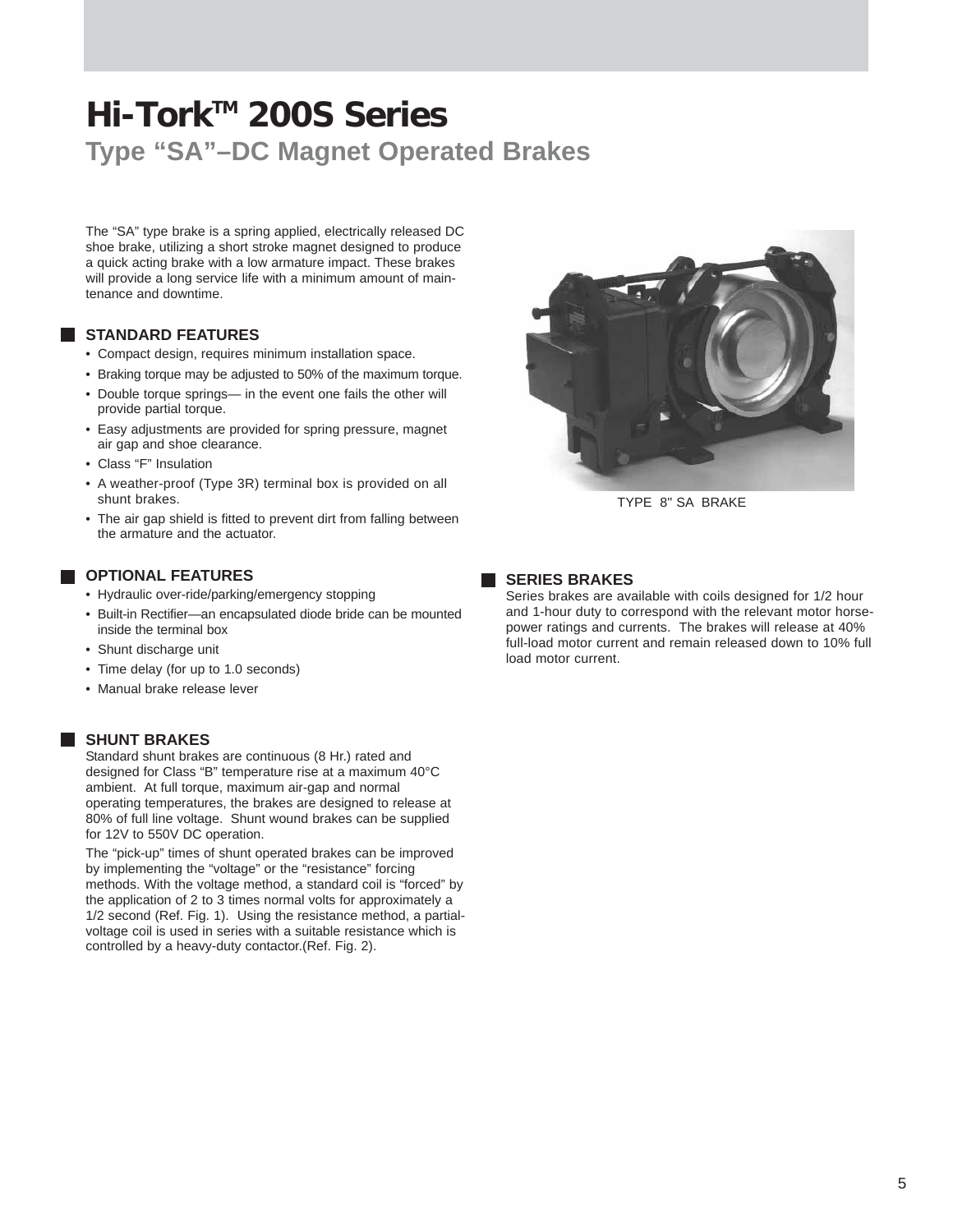### **Hi-TorkTM 200S Series Type "SA"–DC Magnet Operated Brakes**

The "SA" type brake is a spring applied, electrically released DC shoe brake, utilizing a short stroke magnet designed to produce a quick acting brake with a low armature impact. These brakes will provide a long service life with a minimum amount of maintenance and downtime.

#### **STANDARD FEATURES**

- Compact design, requires minimum installation space.
- Braking torque may be adjusted to 50% of the maximum torque.
- Double torque springs— in the event one fails the other will provide partial torque.
- Easy adjustments are provided for spring pressure, magnet air gap and shoe clearance.
- Class "F" Insulation
- A weather-proof (Type 3R) terminal box is provided on all shunt brakes.
- The air gap shield is fitted to prevent dirt from falling between the armature and the actuator.

#### **OPTIONAL FEATURES**

- Hydraulic over-ride/parking/emergency stopping
- Built-in Rectifier—an encapsulated diode bride can be mounted inside the terminal box
- Shunt discharge unit
- Time delay (for up to 1.0 seconds)
- Manual brake release lever

#### **SHUNT BRAKES**

Standard shunt brakes are continuous (8 Hr.) rated and designed for Class "B" temperature rise at a maximum 40°C ambient. At full torque, maximum air-gap and normal operating temperatures, the brakes are designed to release at 80% of full line voltage. Shunt wound brakes can be supplied for 12V to 550V DC operation.

The "pick-up" times of shunt operated brakes can be improved by implementing the "voltage" or the "resistance" forcing methods. With the voltage method, a standard coil is "forced" by the application of 2 to 3 times normal volts for approximately a 1/2 second (Ref. Fig. 1). Using the resistance method, a partialvoltage coil is used in series with a suitable resistance which is controlled by a heavy-duty contactor.(Ref. Fig. 2).



TYPE 8'' SA BRAKE

**SERIES BRAKES** 

Series brakes are available with coils designed for 1/2 hour and 1-hour duty to correspond with the relevant motor horsepower ratings and currents. The brakes will release at 40% full-load motor current and remain released down to 10% full load motor current.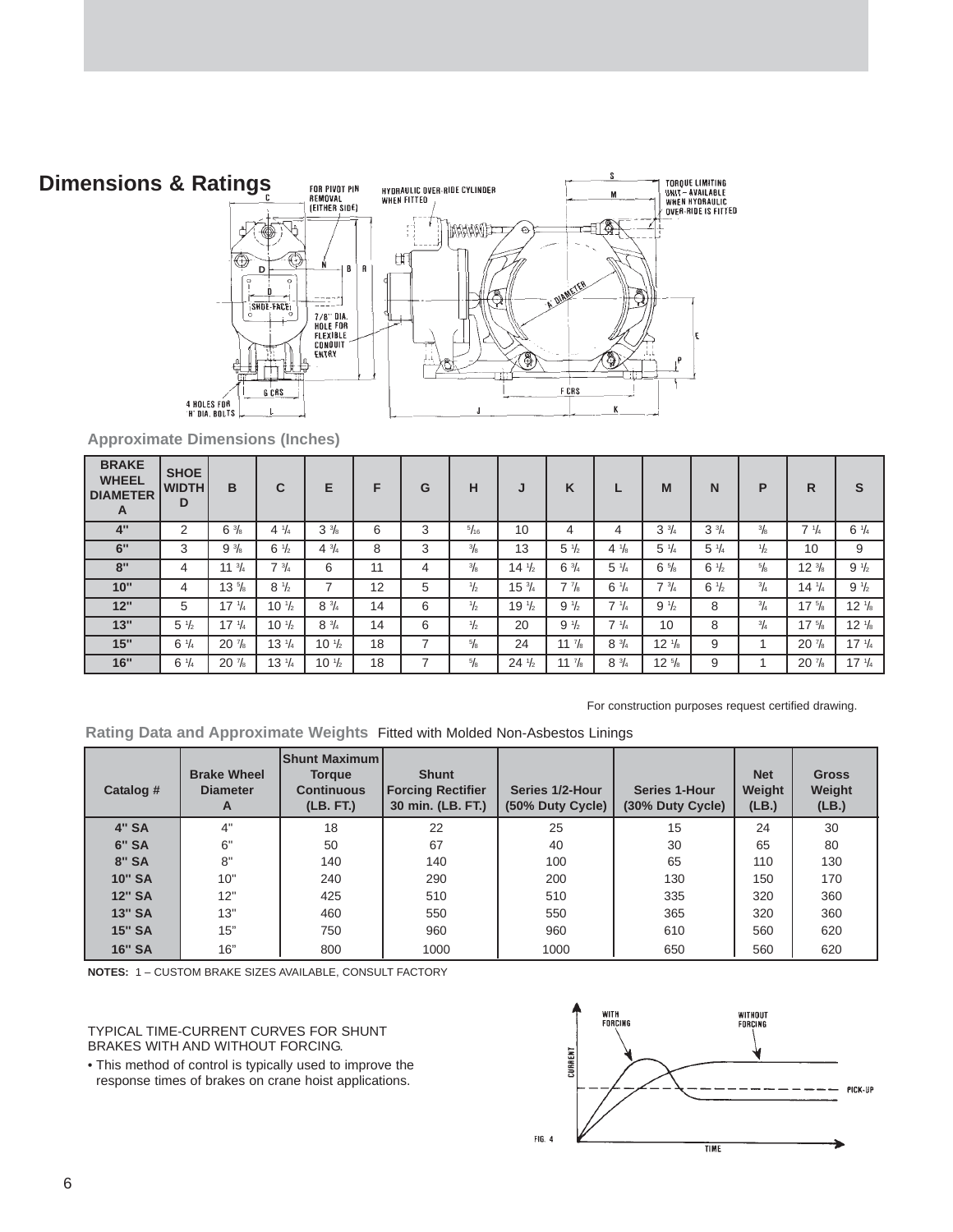### **Dimensions & Ratings**



**Approximate Dimensions (Inches)**

| <b>BRAKE</b><br><b>WHEEL</b><br><b>DIAMETER</b><br>A | <b>SHOE</b><br><b>WIDTH</b><br>D | B                | C                | Е                | F  | G | н              | J                | K                |                 | M                | N               | P             | R                | S                |
|------------------------------------------------------|----------------------------------|------------------|------------------|------------------|----|---|----------------|------------------|------------------|-----------------|------------------|-----------------|---------------|------------------|------------------|
| 4"                                                   | 2                                | $6\frac{3}{8}$   | $4 \frac{1}{4}$  | $3\frac{3}{8}$   | 6  | 3 | $\frac{5}{16}$ | 10               | 4                | 4               | $3\frac{3}{4}$   | $3\frac{3}{4}$  | $\frac{3}{8}$ | $7 \frac{1}{4}$  | $6 \frac{1}{4}$  |
| 6"                                                   | 3                                | $9\frac{3}{8}$   | $6\frac{1}{2}$   | $4^{3}/4$        | 8  | 3 | $^{3}/_{8}$    | 13               | $5\frac{1}{2}$   | $4 \frac{1}{8}$ | $5\frac{1}{4}$   | $5 \frac{1}{4}$ | $\frac{1}{2}$ | 10               | 9                |
| 8"                                                   | 4                                | $11 \frac{3}{4}$ | $7 \frac{3}{4}$  | 6                | 11 | 4 | $\frac{3}{8}$  | $14 \frac{1}{2}$ | $6\frac{3}{4}$   | $5 \frac{1}{4}$ | $6\frac{5}{8}$   | $6 \frac{1}{2}$ | $\frac{5}{8}$ | $12 \frac{3}{8}$ | $9\frac{1}{2}$   |
| 10"                                                  | 4                                | $13 \frac{5}{8}$ | $8\frac{1}{2}$   |                  | 12 | 5 | $\frac{1}{2}$  | $15\frac{3}{4}$  | $7\frac{7}{8}$   | $6 \frac{1}{4}$ | $7 \frac{3}{4}$  | $6\frac{1}{2}$  | $^{3}/_{4}$   | $14 \frac{1}{4}$ | $9\frac{1}{2}$   |
| 12"                                                  | 5                                | $17 \frac{1}{4}$ | $10 \frac{1}{2}$ | $8 \frac{3}{4}$  | 14 | 6 | $\frac{1}{2}$  | $19\frac{1}{2}$  | $9\frac{1}{2}$   | $7 \frac{1}{4}$ | $9\frac{1}{2}$   | 8               | $^{3}/_{4}$   | $17 \frac{5}{8}$ | $12 \frac{1}{8}$ |
| 13"                                                  | $5 \frac{1}{2}$                  | $17 \frac{1}{4}$ | $10 \frac{1}{2}$ | $8 \frac{3}{4}$  | 14 | 6 | $\frac{1}{2}$  | 20               | $9\frac{1}{2}$   | $7 \frac{1}{4}$ | 10               | 8               | $^{3}/_{4}$   | $17 \frac{5}{8}$ | $12 \frac{1}{8}$ |
| 15"                                                  | $6 \frac{1}{4}$                  | $20\frac{7}{8}$  | $13\frac{1}{4}$  | $10 \frac{1}{2}$ | 18 |   | $^{5}/_{8}$    | 24               | $11 \frac{7}{8}$ | $8\frac{3}{4}$  | $12 \frac{1}{8}$ | 9               |               | $20\frac{7}{8}$  | $17 \frac{1}{4}$ |
| 16"                                                  | $6 \frac{1}{4}$                  | $20\frac{7}{8}$  | $13 \frac{1}{4}$ | $10 \frac{1}{2}$ | 18 |   | $^{5}/_{8}$    | $24\frac{1}{2}$  | 11 $\frac{7}{8}$ | $8 \frac{3}{4}$ | $12 \frac{5}{8}$ | 9               |               | $20\frac{7}{8}$  | $17 \frac{1}{4}$ |

For construction purposes request certified drawing.

**Rating Data and Approximate Weights** Fitted with Molded Non-Asbestos Linings

| Catalog #     | <b>Brake Wheel</b><br><b>Diameter</b><br>A | <b>Shunt Maximuml</b><br><b>Torque</b><br><b>Continuous</b><br>(LB. FT.) | <b>Shunt</b><br><b>Forcing Rectifier</b><br>30 min. (LB. FT.) | Series 1/2-Hour<br>(50% Duty Cycle) | <b>Series 1-Hour</b><br>(30% Duty Cycle) | <b>Net</b><br>Weight<br>(LB.) | <b>Gross</b><br>Weight<br>(LB.) |
|---------------|--------------------------------------------|--------------------------------------------------------------------------|---------------------------------------------------------------|-------------------------------------|------------------------------------------|-------------------------------|---------------------------------|
| <b>4" SA</b>  | 4"                                         | 18                                                                       | 22                                                            | 25                                  | 15                                       | 24                            | 30                              |
| <b>6" SA</b>  | 6"                                         | 50                                                                       | 67                                                            | 40                                  | 30                                       | 65                            | 80                              |
| <b>8" SA</b>  | 8"                                         | 140                                                                      | 140                                                           | 100                                 | 65                                       | 110                           | 130                             |
| <b>10" SA</b> | 10"                                        | 240                                                                      | 290                                                           | 200                                 | 130                                      | 150                           | 170                             |
| <b>12" SA</b> | 12"                                        | 425                                                                      | 510                                                           | 510                                 | 335                                      | 320                           | 360                             |
| <b>13" SA</b> | 13"                                        | 460                                                                      | 550                                                           | 550                                 | 365                                      | 320                           | 360                             |
| <b>15" SA</b> | 15"                                        | 750                                                                      | 960                                                           | 960                                 | 610                                      | 560                           | 620                             |
| <b>16" SA</b> | 16"                                        | 800                                                                      | 1000                                                          | 1000                                | 650                                      | 560                           | 620                             |

**NOTES:** 1 – CUSTOM BRAKE SIZES AVAILABLE, CONSULT FACTORY

TYPICAL TIME-CURRENT CURVES FOR SHUNT BRAKES WITH AND WITHOUT FORCING.

• This method of control is typically used to improve the response times of brakes on crane hoist applications.

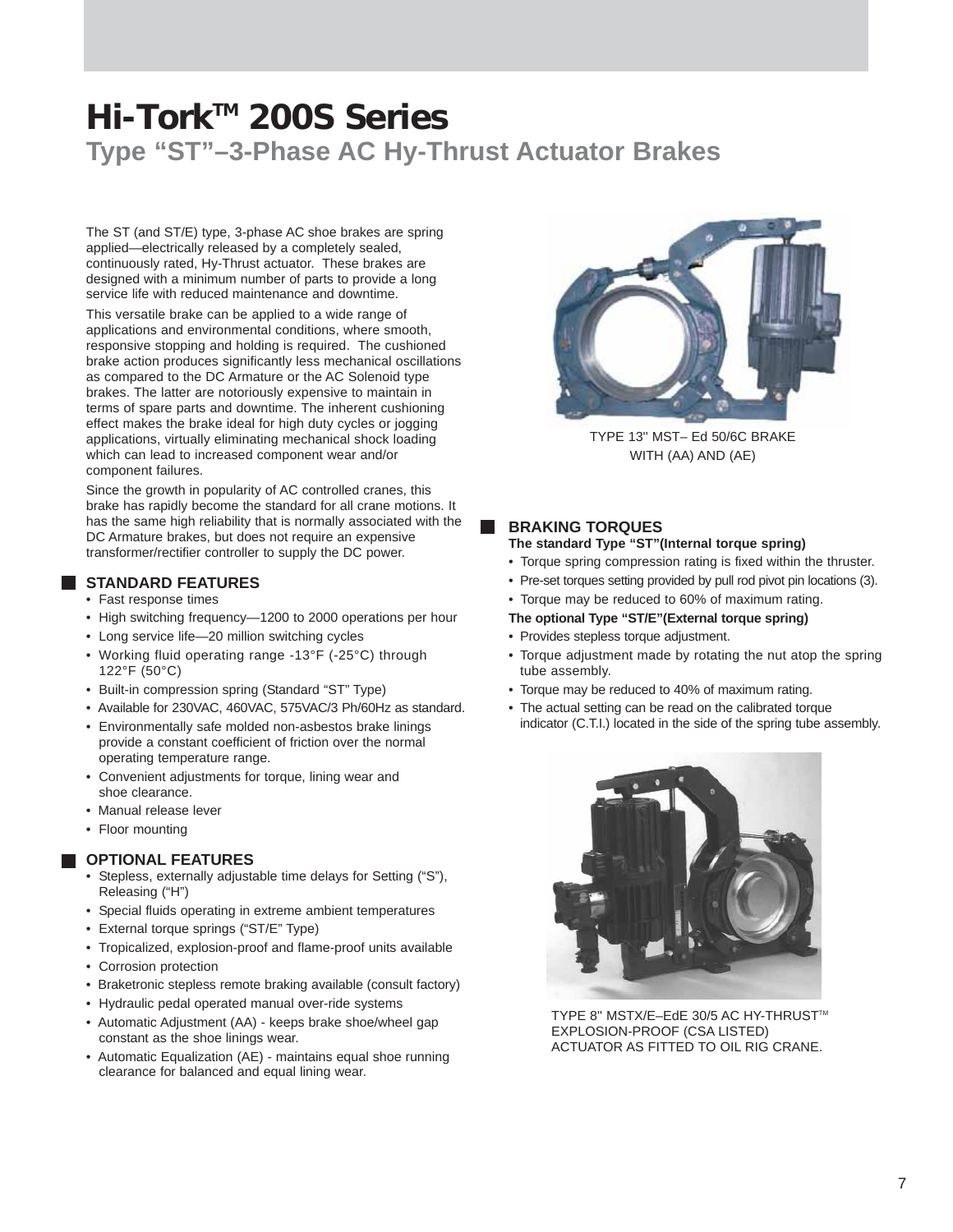### **Hi-TorkTM 200S Series Type "ST"–3-Phase AC Hy-Thrust Actuator Brakes**

The ST (and ST/E) type, 3-phase AC shoe brakes are spring applied—electrically released by a completely sealed, continuously rated, Hy-Thrust actuator. These brakes are designed with a minimum number of parts to provide a long service life with reduced maintenance and downtime.

This versatile brake can be applied to a wide range of applications and environmental conditions, where smooth, responsive stopping and holding is required. The cushioned brake action produces significantly less mechanical oscillations as compared to the DC Armature or the AC Solenoid type brakes. The latter are notoriously expensive to maintain in terms of spare parts and downtime. The inherent cushioning effect makes the brake ideal for high duty cycles or jogging applications, virtually eliminating mechanical shock loading which can lead to increased component wear and/or component failures.

Since the growth in popularity of AC controlled cranes, this brake has rapidly become the standard for all crane motions. It has the same high reliability that is normally associated with the DC Armature brakes, but does not require an expensive transformer/rectifier controller to supply the DC power.

#### **STANDARD FEATURES**

- Fast response times
- High switching frequency—1200 to 2000 operations per hour
- Long service life—20 million switching cycles
- Working fluid operating range -13°F (-25°C) through 122°F (50°C)
- Built-in compression spring (Standard "ST" Type)
- Available for 230VAC, 460VAC, 575VAC/3 Ph/60Hz as standard.
- Environmentally safe molded non-asbestos brake linings provide a constant coefficient of friction over the normal operating temperature range.
- Convenient adjustments for torque, lining wear and shoe clearance.
- Manual release lever
- Floor mounting

#### **OPTIONAL FEATURES**

- Stepless, externally adjustable time delays for Setting ("S"), Releasing ("H")
- Special fluids operating in extreme ambient temperatures
- External torque springs ("ST/E" Type)
- Tropicalized, explosion-proof and flame-proof units available
- Corrosion protection
- Braketronic stepless remote braking available (consult factory)
- Hydraulic pedal operated manual over-ride systems
- Automatic Adjustment (AA) keeps brake shoe/wheel gap constant as the shoe linings wear.
- Automatic Equalization (AE) maintains equal shoe running clearance for balanced and equal lining wear.



TYPE 13'' MST– Ed 50/6C BRAKE WITH (AA) AND (AE)

#### **BRAKING TORQUES**

#### **The standard Type "ST"(Internal torque spring)**

- Torque spring compression rating is fixed within the thruster.
- Pre-set torques setting provided by pull rod pivot pin locations (3).
- Torque may be reduced to 60% of maximum rating.
- **The optional Type "ST/E"(External torque spring)**
- Provides stepless torque adjustment.
- Torque adjustment made by rotating the nut atop the spring tube assembly.
- Torque may be reduced to 40% of maximum rating.
- The actual setting can be read on the calibrated torque indicator (C.T.I.) located in the side of the spring tube assembly.



TYPE 8" MSTX/E-EdE 30/5 AC HY-THRUST™ EXPLOSION-PROOF (CSA LISTED) ACTUATOR AS FITTED TO OIL RIG CRANE.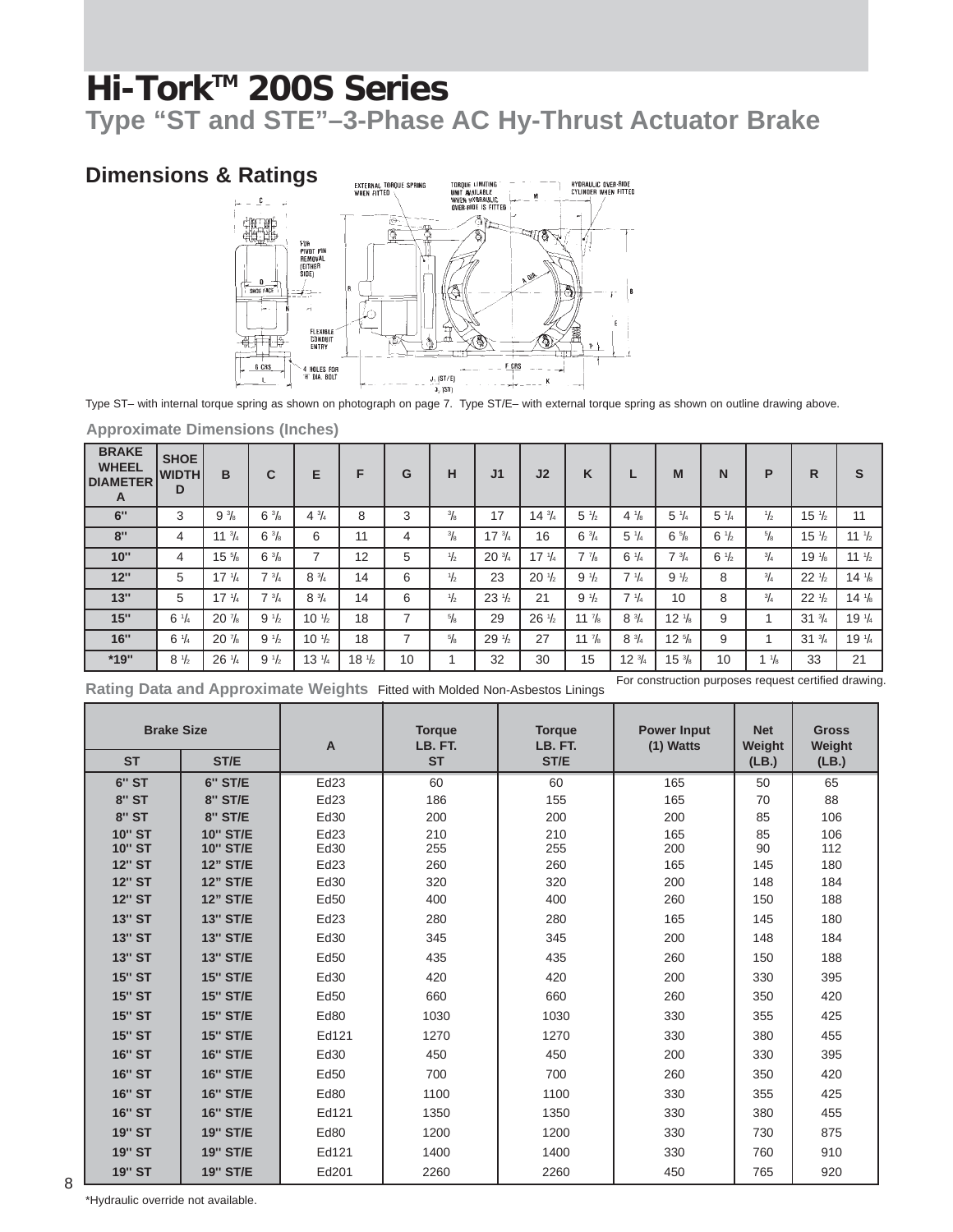**Type "ST and STE"–3-Phase AC Hy-Thrust Actuator Brake**

### **Dimensions & Ratings**



Type ST– with internal torque spring as shown on photograph on page 7. Type ST/E– with external torque spring as shown on outline drawing above.

| <b>BRAKE</b><br><b>WHEEL</b><br><b>DIAMETER</b><br>A | <b>SHOE</b><br><b>WIDTHI</b><br>D | в                | C              | Е                              | F                | G  | н             | J <sub>1</sub>   | J <sub>2</sub>   | K                |                  | M                | N              | P              | R                | S                              |
|------------------------------------------------------|-----------------------------------|------------------|----------------|--------------------------------|------------------|----|---------------|------------------|------------------|------------------|------------------|------------------|----------------|----------------|------------------|--------------------------------|
| 6"                                                   | 3                                 | $9\frac{3}{8}$   | $6\frac{3}{8}$ | $4\frac{3}{4}$                 | 8                | 3  | $\frac{3}{8}$ | 17               | $14 \frac{3}{4}$ | $5\frac{1}{2}$   | $4\frac{1}{8}$   | $5\frac{1}{4}$   | $5\frac{1}{4}$ | $\frac{1}{2}$  | $15 \frac{1}{2}$ | 11                             |
| 8"                                                   | 4                                 | $11^{3}/4$       | $6\frac{3}{8}$ | 6                              | 11               | 4  | $\frac{3}{8}$ | $17 \frac{3}{4}$ | 16               | $6\frac{3}{4}$   | $5\frac{1}{4}$   | $6\frac{5}{8}$   | $6\frac{1}{2}$ | $\frac{5}{8}$  | $15 \frac{1}{2}$ | $11 \frac{1}{2}$               |
| 10"                                                  | 4                                 | $15\frac{5}{8}$  | $6\frac{3}{8}$ | $\overline{ }$                 | 12               | 5  | $\frac{1}{2}$ | $20\frac{3}{4}$  | $17 \frac{1}{4}$ | $7\frac{7}{8}$   | $6\frac{1}{4}$   | $7 \frac{3}{4}$  | $6\frac{1}{2}$ | $^{3}/_{4}$    | $19\frac{1}{8}$  | 11 $\frac{1}{2}$               |
| 12"                                                  | 5                                 | $17 \frac{1}{4}$ | $7^{3}/_{4}$   | $8\frac{3}{4}$                 | 14               | 6  | $\frac{1}{2}$ | 23               | $20 \frac{1}{2}$ | $9\frac{1}{2}$   | $7 \frac{1}{4}$  | $9\frac{1}{2}$   | 8              | $^{3}/_{4}$    | $22 \frac{1}{2}$ | $14 \frac{1}{8}$               |
| 13"                                                  | 5                                 | $17 \frac{1}{4}$ | $7^{3}/_{4}$   | $8\frac{3}{4}$                 | 14               | 6  | $\frac{1}{2}$ | $23 \frac{1}{2}$ | 21               | $9\frac{1}{2}$   | $7 \frac{1}{4}$  | 10               | 8              | $^{3}/_{4}$    | $22 \frac{1}{2}$ | $14\frac{1}{8}$                |
| 15"                                                  | $6 \frac{1}{4}$                   | $20\frac{7}{8}$  | $9\frac{1}{2}$ | 10 <sup>1</sup> / <sub>2</sub> | 18               | 7  | $\frac{5}{8}$ | 29               | $26\frac{1}{2}$  | $11 \frac{7}{8}$ | $8 \frac{3}{4}$  | $12 \frac{1}{8}$ | 9              |                | $31 \frac{3}{4}$ | 19 <sup>1</sup> / <sub>4</sub> |
| 16"                                                  | $6 \frac{1}{4}$                   | $20\frac{7}{8}$  | $9\frac{1}{2}$ | $10 \frac{1}{2}$               | 18               | ⇁  | $\frac{5}{8}$ | $29\frac{1}{2}$  | 27               | 11 $\frac{7}{8}$ | $8\frac{3}{4}$   | $12 \frac{5}{8}$ | 9              |                | $31 \frac{3}{4}$ | 19 <sup>1</sup> / <sub>4</sub> |
| *19"                                                 | $8 \frac{1}{2}$                   | $26\frac{1}{4}$  | $9\frac{1}{2}$ | $13 \frac{1}{4}$               | $18 \frac{1}{2}$ | 10 |               | 32               | 30               | 15               | $12 \frac{3}{4}$ | $15\frac{3}{8}$  | 10             | $1\frac{1}{8}$ | 33<br>.          | 21                             |

**Approximate Dimensions (Inches)**

**Rating Data and Approximate Weights** Fitted with Molded Non-Asbestos Linings

For construction purposes request certified drawing.

| <b>Brake Size</b> |                 | A     | <b>Torque</b><br>LB. FT. | <b>Torque</b><br>LB. FT. | <b>Power Input</b><br>$(1)$ Watts | <b>Net</b><br>Weight | <b>Gross</b><br>Weight |
|-------------------|-----------------|-------|--------------------------|--------------------------|-----------------------------------|----------------------|------------------------|
| <b>ST</b>         | ST/E            |       | <b>ST</b>                | ST/E                     |                                   | (LB.)                | (LB.)                  |
| 6" ST             | <b>6" ST/E</b>  | Ed23  | 60                       | 60                       | 165                               | 50                   | 65                     |
| <b>8" ST</b>      | <b>8" ST/E</b>  | Ed23  | 186                      | 155                      | 165                               | 70                   | 88                     |
| <b>8" ST</b>      | <b>8" ST/E</b>  | Ed30  | 200                      | 200                      | 200                               | 85                   | 106                    |
| <b>10" ST</b>     | <b>10" ST/E</b> | Ed23  | 210                      | 210                      | 165                               | 85                   | 106                    |
| <b>10" ST</b>     | <b>10" ST/E</b> | Ed30  | 255                      | 255                      | 200                               | 90                   | 112                    |
| <b>12" ST</b>     | <b>12" ST/E</b> | Ed23  | 260                      | 260                      | 165                               | 145                  | 180                    |
| <b>12" ST</b>     | <b>12" ST/E</b> | Ed30  | 320                      | 320                      | 200                               | 148                  | 184                    |
| <b>12" ST</b>     | <b>12" ST/E</b> | Ed50  | 400                      | 400                      | 260                               | 150                  | 188                    |
| <b>13" ST</b>     | <b>13" ST/E</b> | Ed23  | 280                      | 280                      | 165                               | 145                  | 180                    |
| <b>13" ST</b>     | <b>13" ST/E</b> | Ed30  | 345                      | 345                      | 200                               | 148                  | 184                    |
| <b>13" ST</b>     | <b>13" ST/E</b> | Ed50  | 435                      | 435                      | 260                               | 150                  | 188                    |
| <b>15" ST</b>     | <b>15" ST/E</b> | Ed30  | 420                      | 420                      | 200                               | 330                  | 395                    |
| <b>15" ST</b>     | <b>15" ST/E</b> | Ed50  | 660                      | 660                      | 260                               | 350                  | 420                    |
| <b>15" ST</b>     | <b>15" ST/E</b> | Ed80  | 1030                     | 1030                     | 330                               | 355                  | 425                    |
| <b>15" ST</b>     | <b>15" ST/E</b> | Ed121 | 1270                     | 1270                     | 330                               | 380                  | 455                    |
| <b>16" ST</b>     | <b>16" ST/E</b> | Ed30  | 450                      | 450                      | 200                               | 330                  | 395                    |
| <b>16" ST</b>     | <b>16" ST/E</b> | Ed50  | 700                      | 700                      | 260                               | 350                  | 420                    |
| <b>16" ST</b>     | <b>16" ST/E</b> | Ed80  | 1100                     | 1100                     | 330                               | 355                  | 425                    |
| <b>16" ST</b>     | <b>16" ST/E</b> | Ed121 | 1350                     | 1350                     | 330                               | 380                  | 455                    |
| <b>19" ST</b>     | <b>19" ST/E</b> | Ed80  | 1200                     | 1200                     | 330                               | 730                  | 875                    |
| <b>19" ST</b>     | <b>19" ST/E</b> | Ed121 | 1400                     | 1400                     | 330                               | 760                  | 910                    |
| <b>19" ST</b>     | <b>19" ST/E</b> | Ed201 | 2260                     | 2260                     | 450                               | 765                  | 920                    |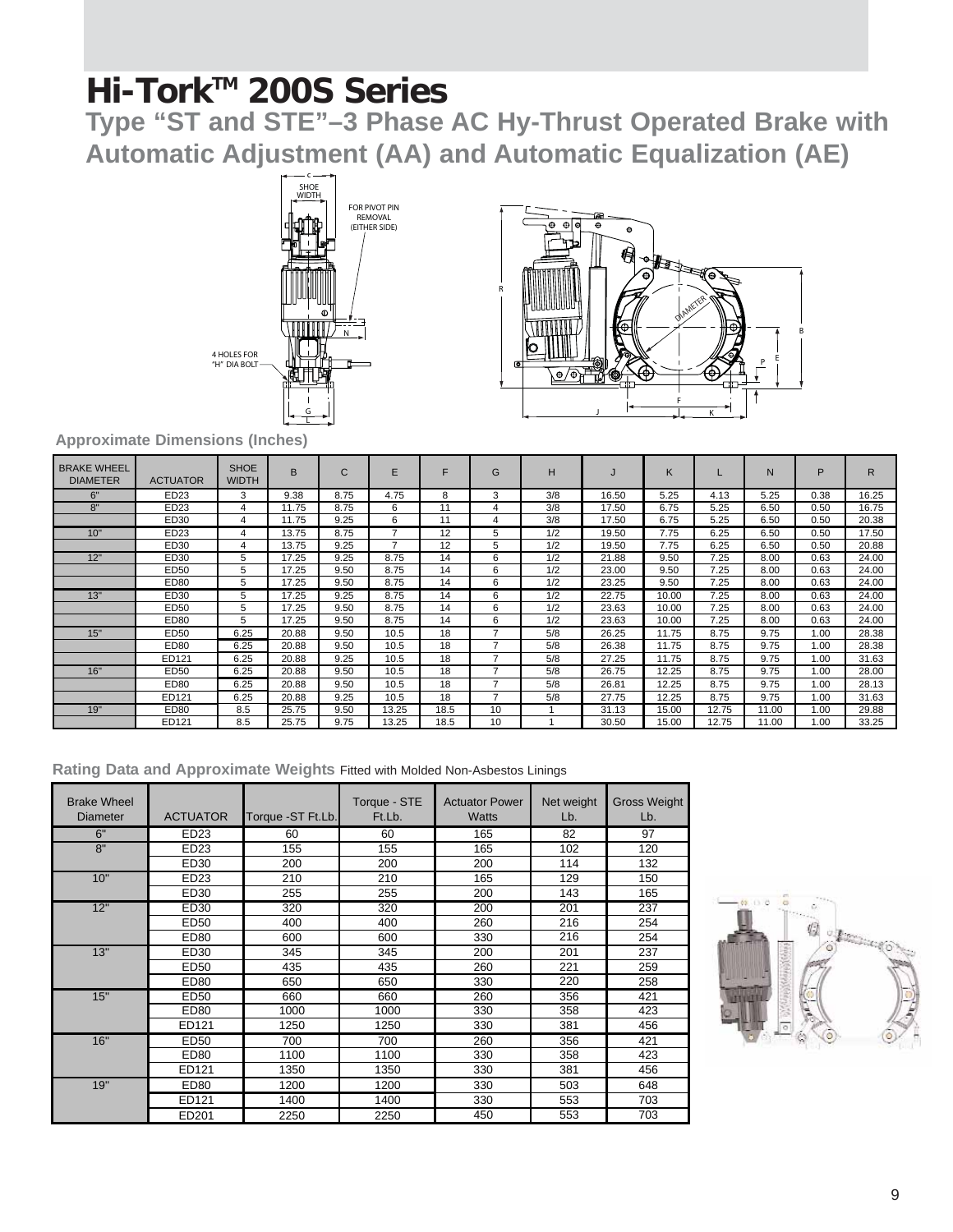**Type "ST and STE"–3 Phase AC Hy-Thrust Operated Brake with Automatic Adjustment (AA) and Automatic Equalization (AE)**





**Approximate Dimensions (Inches)**

| <b>BRAKE WHEEL</b><br><b>DIAMETER</b> | <b>ACTUATOR</b> | <b>SHOE</b><br>WIDTH | <sub>R</sub> | C    | E              |      | G  | н   |       | K     |       | N     | P    | R     |
|---------------------------------------|-----------------|----------------------|--------------|------|----------------|------|----|-----|-------|-------|-------|-------|------|-------|
| 6"                                    | ED23            | 3                    | 9.38         | 8.75 | 4.75           | 8    | 3  | 3/8 | 16.50 | 5.25  | 4.13  | 5.25  | 0.38 | 16.25 |
| 8"                                    | ED23            |                      | 11.75        | 8.75 | 6              | 11   | Δ  | 3/8 | 17.50 | 6.75  | 5.25  | 6.50  | 0.50 | 16.75 |
|                                       | ED30            |                      | 11.75        | 9.25 | 6              | 11   | 4  | 3/8 | 17.50 | 6.75  | 5.25  | 6.50  | 0.50 | 20.38 |
| 10"                                   | ED23            |                      | 13.75        | 8.75 |                | 12   | 5  | 1/2 | 19.50 | 7.75  | 6.25  | 6.50  | 0.50 | 17.50 |
|                                       | ED30            |                      | 13.75        | 9.25 | $\overline{ }$ | 12   | 5  | 1/2 | 19.50 | 7.75  | 6.25  | 6.50  | 0.50 | 20.88 |
| 12"                                   | ED30            |                      | 17.25        | 9.25 | 8.75           | 14   | 6  | 1/2 | 21.88 | 9.50  | 7.25  | 8.00  | 0.63 | 24.00 |
|                                       | ED50            | 5                    | 17.25        | 9.50 | 8.75           | 14   | 6  | 1/2 | 23.00 | 9.50  | 7.25  | 8.00  | 0.63 | 24.00 |
|                                       | <b>ED80</b>     | 5                    | 17.25        | 9.50 | 8.75           | 14   | 6  | 1/2 | 23.25 | 9.50  | 7.25  | 8.00  | 0.63 | 24.00 |
| 13"                                   | ED30            | 5                    | 17.25        | 9.25 | 8.75           | 14   | 6  | 1/2 | 22.75 | 10.00 | 7.25  | 8.00  | 0.63 | 24.00 |
|                                       | ED50            | 5                    | 17.25        | 9.50 | 8.75           | 14   | 6  | 1/2 | 23.63 | 10.00 | 7.25  | 8.00  | 0.63 | 24.00 |
|                                       | ED80            | 5                    | 17.25        | 9.50 | 8.75           | 14   | 6  | 1/2 | 23.63 | 10.00 | 7.25  | 8.00  | 0.63 | 24.00 |
| 15"                                   | ED50            | 6.25                 | 20.88        | 9.50 | 10.5           | 18   |    | 5/8 | 26.25 | 11.75 | 8.75  | 9.75  | 1.00 | 28.38 |
|                                       | ED80            | 6.25                 | 20.88        | 9.50 | 10.5           | 18   | –  | 5/8 | 26.38 | 11.75 | 8.75  | 9.75  | 1.00 | 28.38 |
|                                       | ED121           | 6.25                 | 20.88        | 9.25 | 10.5           | 18   |    | 5/8 | 27.25 | 11.75 | 8.75  | 9.75  | 1.00 | 31.63 |
| 16"                                   | ED50            | 6.25                 | 20.88        | 9.50 | 10.5           | 18   |    | 5/8 | 26.75 | 12.25 | 8.75  | 9.75  | 1.00 | 28.00 |
|                                       | ED80            | 6.25                 | 20.88        | 9.50 | 10.5           | 18   | 7  | 5/8 | 26.81 | 12.25 | 8.75  | 9.75  | 0.00 | 28.13 |
|                                       | ED121           | 6.25                 | 20.88        | 9.25 | 10.5           | 18   | ⇁  | 5/8 | 27.75 | 12.25 | 8.75  | 9.75  | 1.00 | 31.63 |
| 19"                                   | ED80            | 8.5                  | 25.75        | 9.50 | 13.25          | 18.5 | 10 |     | 31.13 | 15.00 | 12.75 | 11.00 | 1.00 | 29.88 |
|                                       | ED121           | 8.5                  | 25.75        | 9.75 | 13.25          | 18.5 | 10 |     | 30.50 | 15.00 | 12.75 | 11.00 | 1.00 | 33.25 |

|  | Rating Data and Approximate Weights Fitted with Molded Non-Asbestos Linings |  |  |  |
|--|-----------------------------------------------------------------------------|--|--|--|
|  |                                                                             |  |  |  |

| <b>Brake Wheel</b><br><b>Diameter</b> | <b>ACTUATOR</b> | Torque -ST Ft.Lb. | Torque - STE<br>Ft.Lb. | <b>Actuator Power</b><br><b>Watts</b> | Net weight<br>Lb. | <b>Gross Weight</b><br>Lb. |
|---------------------------------------|-----------------|-------------------|------------------------|---------------------------------------|-------------------|----------------------------|
| 6"                                    | ED23            | 60                | 60                     | 165                                   | 82                | 97                         |
| 8"                                    | ED23            | 155               | 155                    | 165                                   | 102               | 120                        |
|                                       | ED30            | 200               | 200                    | 200                                   | 114               | 132                        |
| 10"                                   | ED23            | 210               | 210                    | 165                                   | 129               | 150                        |
|                                       | ED30            | 255               | 255                    | 200                                   | 143               | 165                        |
| 12"                                   | ED30            | 320               | 320                    | 200                                   | 201               | 237                        |
|                                       | ED50            | 400               | 400                    | 260                                   | 216               | 254                        |
|                                       | ED80            | 600               | 600                    | 330                                   | 216               | 254                        |
| 13"                                   | ED30            | 345               | 345                    | 200                                   | 201               | 237                        |
|                                       | ED50            | 435               | 435                    | 260                                   | 221               | 259                        |
|                                       | ED80            | 650               | 650                    | 330                                   | 220               | 258                        |
| 15"                                   | ED50            | 660               | 660                    | 260                                   | 356               | 421                        |
|                                       | ED80            | 1000              | 1000                   | 330                                   | 358               | 423                        |
|                                       | ED121           | 1250              | 1250                   | 330                                   | 381               | 456                        |
| 16"                                   | ED50            | 700               | 700                    | 260                                   | 356               | 421                        |
|                                       | ED80            | 1100              | 1100                   | 330                                   | 358               | 423                        |
|                                       | ED121           | 1350              | 1350                   | 330                                   | 381               | 456                        |
| 19"                                   | ED80            | 1200              | 1200                   | 330                                   | 503               | 648                        |
|                                       | ED121           | 1400              | 1400                   | 330                                   | 553               | 703                        |
|                                       | ED201           | 2250              | 2250                   | 450                                   | 553               | 703                        |

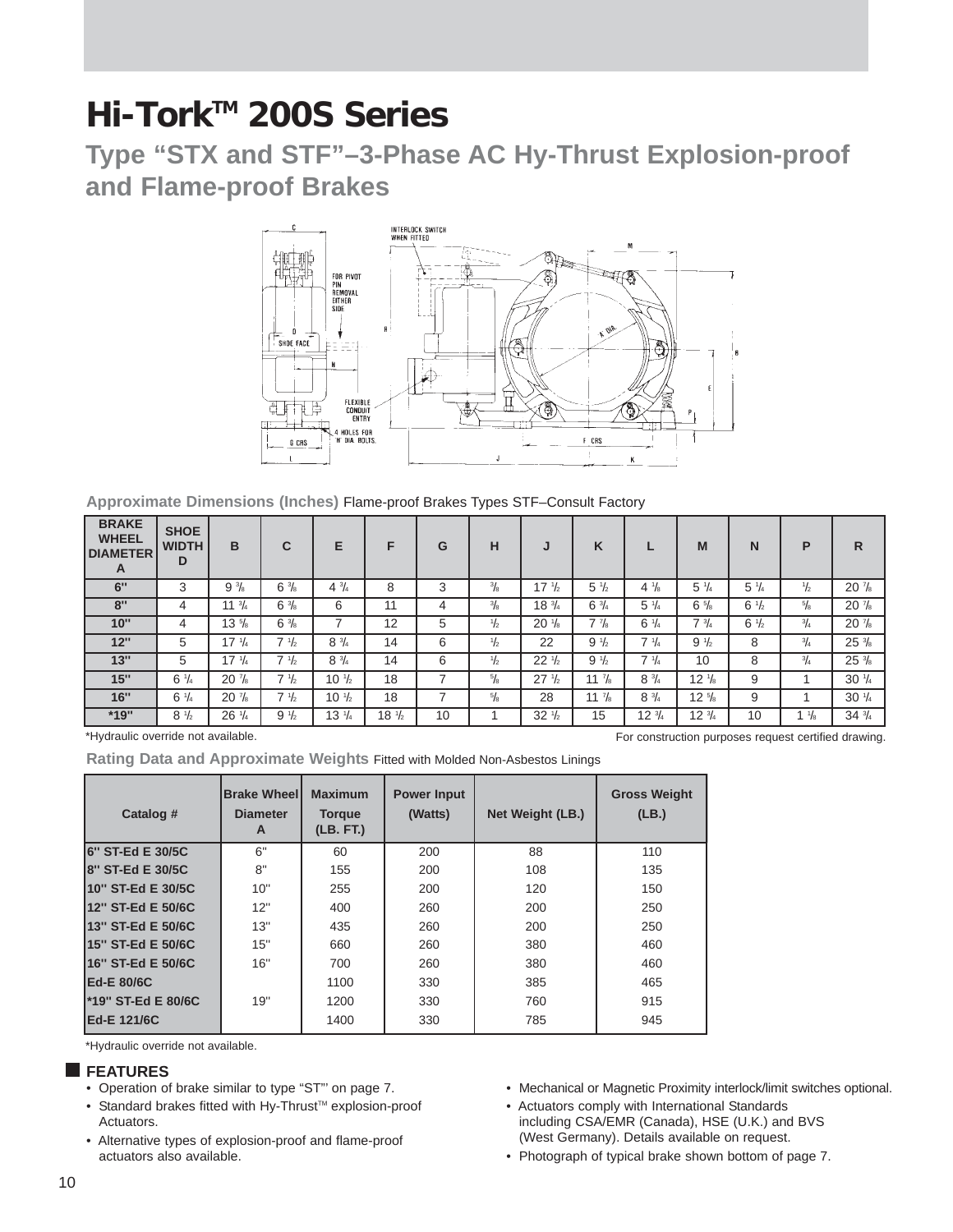**Type "STX and STF"–3-Phase AC Hy-Thrust Explosion-proof and Flame-proof Brakes**



**Approximate Dimensions (Inches)** Flame-proof Brakes Types STF–Consult Factory

| <b>BRAKE</b><br><b>WHEEL</b><br><b>DIAMETER</b><br>A | <b>SHOE</b><br><b>WIDTH</b><br>D | в                | C               | Е                | F                | G  | н             | J                | K                | ш                | M                | N               | P               | R                |
|------------------------------------------------------|----------------------------------|------------------|-----------------|------------------|------------------|----|---------------|------------------|------------------|------------------|------------------|-----------------|-----------------|------------------|
| 6"                                                   | 3                                | $9\frac{3}{8}$   | $6\frac{3}{8}$  | $4\frac{3}{4}$   | 8                | 3  | $\frac{3}{8}$ | $17 \frac{1}{2}$ | $5 \frac{1}{2}$  | $4\frac{1}{8}$   | $5 \frac{1}{4}$  | $5\frac{1}{4}$  | $\frac{1}{2}$   | $20\frac{7}{8}$  |
| 8"                                                   | 4                                | $11 \frac{3}{4}$ | $6\frac{3}{8}$  | 6                | 11               | 4  | $\frac{3}{8}$ | $18 \frac{3}{4}$ | $6\frac{3}{4}$   | $5\frac{1}{4}$   | $6\frac{5}{8}$   | $6 \frac{1}{2}$ | $^{5}/_{8}$     | $20\frac{7}{8}$  |
| 10"                                                  | 4                                | $13 \frac{5}{8}$ | $6\frac{3}{8}$  | -                | 12               | 5  | $\frac{1}{2}$ | $20\frac{1}{8}$  | $7\frac{7}{8}$   | $6 \frac{1}{4}$  | $7 \frac{3}{4}$  | $6 \frac{1}{2}$ | $^{3}/_{4}$     | $20\frac{7}{8}$  |
| 12"                                                  | 5                                | $17 \frac{1}{4}$ | $7 \frac{1}{2}$ | $8\frac{3}{4}$   | 14               | 6  | $\frac{1}{2}$ | 22               | $9\frac{1}{2}$   | $7 \frac{1}{4}$  | $9\frac{1}{2}$   | 8               | $^{3}/_{4}$     | $25\frac{3}{8}$  |
| 13"                                                  | 5                                | $17 \frac{1}{4}$ | $7 \frac{1}{2}$ | $8\frac{3}{4}$   | 14               | 6  | $\frac{1}{2}$ | $22\frac{1}{2}$  | $9\frac{1}{2}$   | $7 \frac{1}{4}$  | 10               | 8               | $^{3}/_{4}$     | $25\frac{3}{8}$  |
| 15"                                                  | $6 \frac{1}{4}$                  | $20\frac{7}{8}$  | $7 \frac{1}{2}$ | $10 \frac{1}{2}$ | 18               |    | $^{5}/_{8}$   | $27 \frac{1}{2}$ | $11 \frac{7}{8}$ | $8\frac{3}{4}$   | $12 \frac{1}{8}$ | 9               |                 | $30 \frac{1}{4}$ |
| 16"                                                  | $6 \frac{1}{4}$                  | $20\frac{7}{8}$  | $7 \frac{1}{2}$ | $10 \frac{1}{2}$ | 18               |    | 5/8           | 28               | $11 \frac{7}{8}$ | $8 \frac{3}{4}$  | $12 \frac{5}{8}$ | 9               |                 | $30 \frac{1}{4}$ |
| *19"                                                 | $8 \frac{1}{2}$                  | $26 \frac{1}{4}$ | $9\frac{1}{2}$  | $13 \frac{1}{4}$ | $18 \frac{1}{2}$ | 10 |               | $32\frac{1}{2}$  | 15               | $12 \frac{3}{4}$ | $12\frac{3}{4}$  | 10              | 1 $\frac{1}{8}$ | $34\frac{3}{4}$  |

\*Hydraulic override not available.

**Rating Data and Approximate Weights** Fitted with Molded Non-Asbestos Linings

| Catalog #          | <b>Brake Wheell</b><br><b>Diameter</b><br>A | <b>Maximum</b><br><b>Torque</b><br>(LB. FT.) | <b>Power Input</b><br>(Watts) | Net Weight (LB.) | <b>Gross Weight</b><br>(LB.) |
|--------------------|---------------------------------------------|----------------------------------------------|-------------------------------|------------------|------------------------------|
| 6" ST-Ed E 30/5C   | 6"                                          | 60                                           | 200                           | 88               | 110                          |
| 8" ST-Ed E 30/5C   | 8"                                          | 155                                          | 200                           | 108              | 135                          |
| 10" ST-Ed E 30/5C  | 10"                                         | 255                                          | 200                           | 120              | 150                          |
| 12" ST-Ed E 50/6C  | 12"                                         | 400                                          | 260                           | 200              | 250                          |
| 13" ST-Ed E 50/6C  | 13"                                         | 435                                          | 260                           | 200              | 250                          |
| 15" ST-Ed E 50/6C  | 15"                                         | 660                                          | 260                           | 380              | 460                          |
| 16" ST-Ed E 50/6C  | 16"                                         | 700                                          | 260                           | 380              | 460                          |
| Ed-E 80/6C         |                                             | 1100                                         | 330                           | 385              | 465                          |
| *19" ST-Ed E 80/6C | 19"                                         | 1200                                         | 330                           | 760              | 915                          |
| Ed-E 121/6C        |                                             | 1400                                         | 330                           | 785              | 945                          |

\*Hydraulic override not available.

#### **FEATURES**

- Operation of brake similar to type "ST"' on page 7.
- Standard brakes fitted with Hy-Thrust<sup>™</sup> explosion-proof Actuators.
- Alternative types of explosion-proof and flame-proof actuators also available.
- Mechanical or Magnetic Proximity interlock/limit switches optional.

For construction purposes request certified drawing.

- Actuators comply with International Standards including CSA/EMR (Canada), HSE (U.K.) and BVS (West Germany). Details available on request.
- Photograph of typical brake shown bottom of page 7.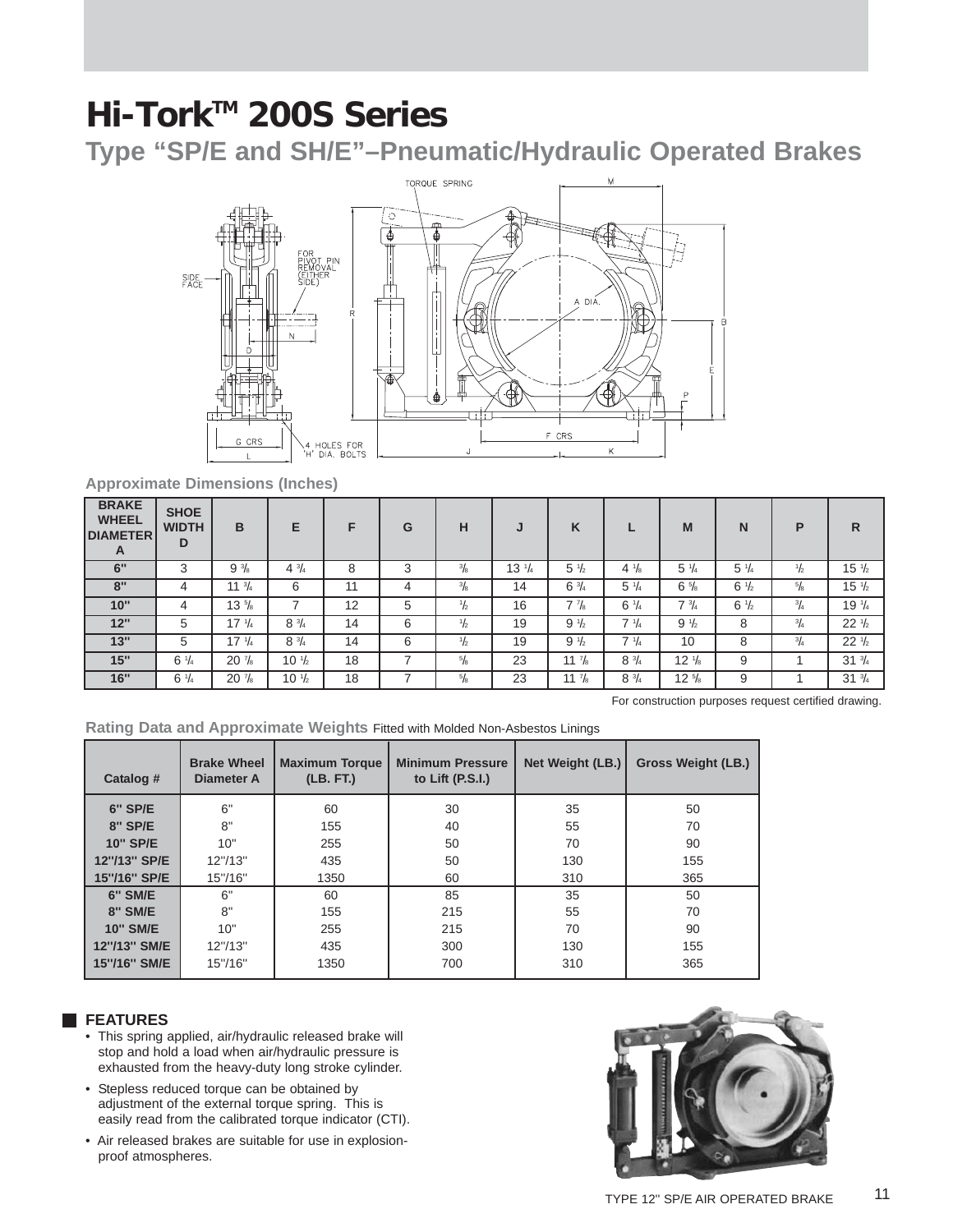**Type "SP/E and SH/E"–Pneumatic/Hydraulic Operated Brakes**



**Approximate Dimensions (Inches)**

| <b>BRAKE</b><br><b>WHEEL</b><br><b>DIAMETER</b><br>A | <b>SHOE</b><br><b>WIDTH</b><br>D | в                | Е                | F  | G | н             | J                | K                |                 | M                | N               | P             | R                |
|------------------------------------------------------|----------------------------------|------------------|------------------|----|---|---------------|------------------|------------------|-----------------|------------------|-----------------|---------------|------------------|
| 6"                                                   | 3                                | $9\frac{3}{8}$   | $4\frac{3}{4}$   | 8  | 3 | $^{3}/_{8}$   | $13 \frac{1}{4}$ | $5\frac{1}{2}$   | $4\frac{1}{8}$  | $5 \frac{1}{4}$  | $5 \frac{1}{4}$ | $\frac{1}{2}$ | $15 \frac{1}{2}$ |
| 8"                                                   | 4                                | $11 \frac{3}{4}$ | 6                | 11 | 4 | $^{3}/_{8}$   | 14               | $6\frac{3}{4}$   | $5\frac{1}{4}$  | $6\frac{5}{8}$   | $6\frac{1}{2}$  | $\frac{5}{8}$ | $15 \frac{1}{2}$ |
| 10"                                                  | 4                                | $13 \frac{5}{8}$ | ⇁                | 12 | 5 | $\frac{1}{2}$ | 16               | $7\frac{7}{8}$   | $6 \frac{1}{4}$ | $7 \frac{3}{4}$  | $6\frac{1}{2}$  | $^{3}/_{4}$   | $19 \frac{1}{4}$ |
| 12"                                                  | 5                                | $17 \frac{1}{4}$ | $8\frac{3}{4}$   | 14 | 6 | $\frac{1}{2}$ | 19               | $9\frac{1}{2}$   | $7 \frac{1}{4}$ | $9\frac{1}{2}$   | 8               | $^{3}/_{4}$   | $22 \frac{1}{2}$ |
| 13"                                                  | 5                                | $17 \frac{1}{4}$ | $8 \frac{3}{4}$  | 14 | 6 | $\frac{1}{2}$ | 19               | $9\frac{1}{2}$   | $7 \frac{1}{4}$ | 10               | 8               | $^{3}/_{4}$   | $22 \frac{1}{2}$ |
| 15"                                                  | $6 \frac{1}{4}$                  | $20\frac{7}{8}$  | $10 \frac{1}{2}$ | 18 |   | $^{5}/_{8}$   | 23               | $11 \frac{7}{8}$ | $8 \frac{3}{4}$ | $12 \frac{1}{8}$ | 9               |               | $31 \frac{3}{4}$ |
| 16"                                                  | $6 \frac{1}{4}$                  | $20\frac{7}{8}$  | $10 \frac{1}{2}$ | 18 |   | $^{5}/_{8}$   | 23               | $11 \frac{7}{8}$ | $8 \frac{3}{4}$ | $12\frac{5}{8}$  | 9               |               | $31 \frac{3}{4}$ |

For construction purposes request certified drawing.

**Rating Data and Approximate Weights** Fitted with Molded Non-Asbestos Linings

| Catalog #       | <b>Brake Wheel</b><br>Diameter A | <b>Maximum Torque</b><br>(LB. FT.) | <b>Minimum Pressure</b><br>to Lift $(P.S.I.)$ | Net Weight (LB.) | <b>Gross Weight (LB.)</b> |
|-----------------|----------------------------------|------------------------------------|-----------------------------------------------|------------------|---------------------------|
| 6" SP/E         | 6"                               | 60                                 | 30                                            | 35               | 50                        |
| <b>8" SP/E</b>  | 8"                               | 155                                | 40                                            | 55               | 70                        |
| <b>10" SP/E</b> | 10"                              | 255                                | 50                                            | 70               | 90                        |
| 12"/13" SP/E    | 12''/13''                        | 435                                | 50                                            | 130              | 155                       |
| 15"/16" SP/E    | 15"/16"                          | 1350                               | 60                                            | 310              | 365                       |
| 6" SM/E         | 6"                               | 60                                 | 85                                            | 35               | 50                        |
| <b>8" SM/E</b>  | 8"                               | 155                                | 215                                           | 55               | 70                        |
| <b>10" SM/E</b> | 10"                              | 255                                | 215                                           | 70               | 90                        |
| 12"/13" SM/E    | 12"/13"                          | 435                                | 300                                           | 130              | 155                       |
| 15"/16" SM/E    | 15"/16"                          | 1350                               | 700                                           | 310              | 365                       |

#### **FEATURES**

- This spring applied, air/hydraulic released brake will stop and hold a load when air/hydraulic pressure is exhausted from the heavy-duty long stroke cylinder.
- Stepless reduced torque can be obtained by adjustment of the external torque spring. This is easily read from the calibrated torque indicator (CTI).
- Air released brakes are suitable for use in explosionproof atmospheres.

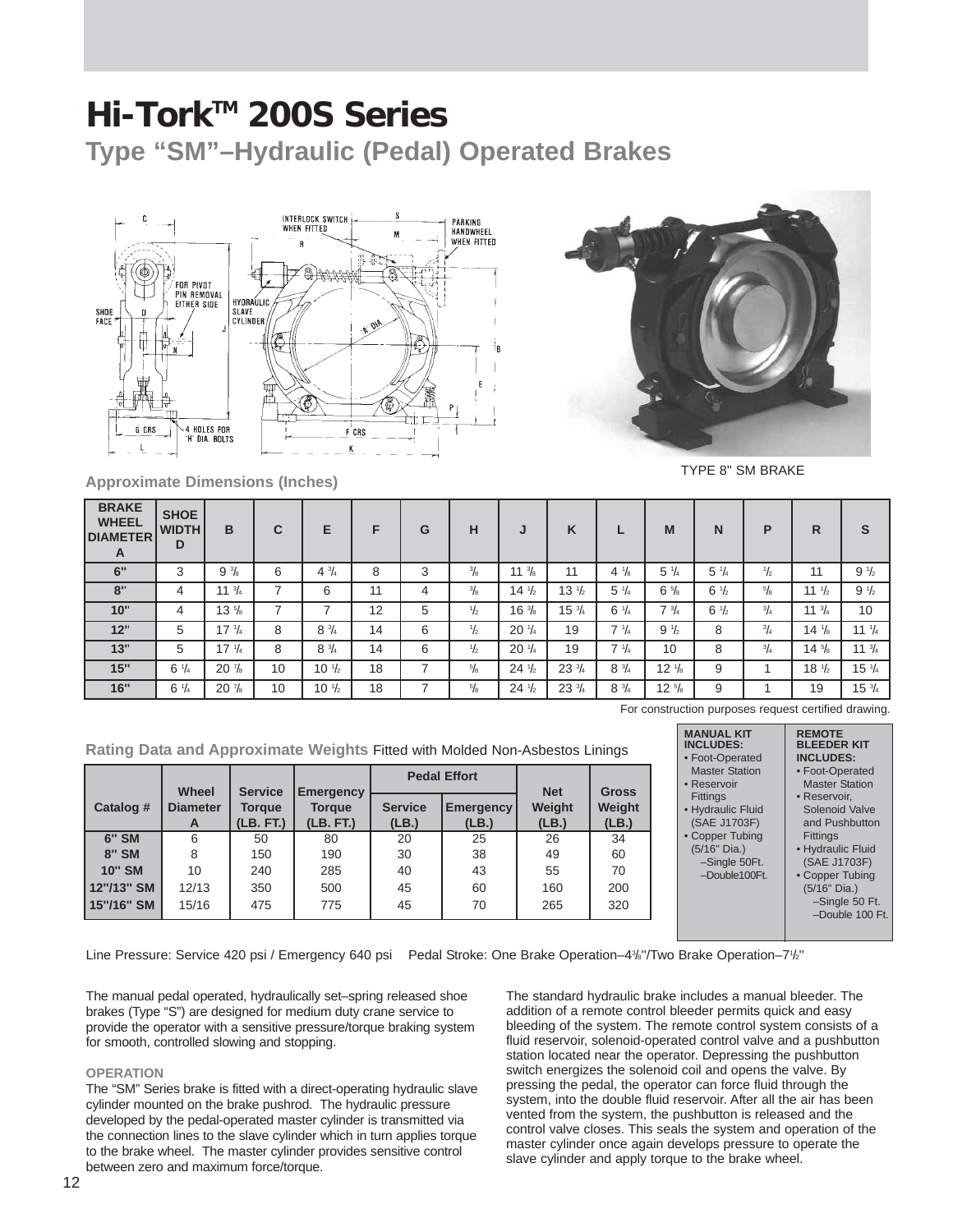**Type "SM"–Hydraulic (Pedal) Operated Brakes**





TYPE 8'' SM BRAKE

| <b>BRAKE</b><br><b>WHEEL</b><br><b>DIAMETER</b><br>A | <b>SHOE</b><br><b>WIDTH</b><br>D | B                | C  | Е                | F  | G | н             | J                | K                |                 | M                | N               | P             | R                | S                |
|------------------------------------------------------|----------------------------------|------------------|----|------------------|----|---|---------------|------------------|------------------|-----------------|------------------|-----------------|---------------|------------------|------------------|
| 6"                                                   | 3                                | $9\frac{3}{8}$   | 6  | $4\frac{3}{4}$   | 8  | 3 | $\frac{3}{8}$ | $11 \frac{3}{8}$ | 11               | $4\frac{1}{8}$  | $5 \frac{1}{4}$  | $5 \frac{1}{4}$ | $\frac{1}{2}$ | 11               | $9\frac{1}{2}$   |
| 8"                                                   | 4                                | 11 $\frac{3}{4}$ | -  | 6                | 11 | 4 | $^{3}/_{8}$   | $14\frac{1}{2}$  | $13 \frac{1}{2}$ | $5\frac{1}{4}$  | $6\frac{5}{8}$   | $6 \frac{1}{2}$ | $^{5}/_{8}$   | 11 $\frac{1}{2}$ | $9\frac{1}{2}$   |
| 10"                                                  | 4                                | $13\frac{5}{8}$  | ⇁  | ⇁                | 12 | 5 | $\frac{1}{2}$ | $16\frac{3}{8}$  | $15\frac{3}{4}$  | $6\frac{1}{4}$  | $7 \frac{3}{4}$  | $6 \frac{1}{2}$ | $^{3}/_{4}$   | 11 $\frac{3}{4}$ | 10               |
| 12"                                                  | 5                                | $17 \frac{1}{4}$ | 8  | $8 \frac{3}{4}$  | 14 | 6 | $\frac{1}{2}$ | $20\frac{1}{4}$  | 19               | $7 \frac{1}{4}$ | $9\frac{1}{2}$   | 8               | $^{3}/_{4}$   | $14\frac{1}{8}$  | $11 \frac{1}{4}$ |
| 13"                                                  | 5                                | $17 \frac{1}{4}$ | 8  | $8 \frac{3}{4}$  | 14 | 6 | $\frac{1}{2}$ | $20 \frac{1}{4}$ | 19               | $7 \frac{1}{4}$ | 10               | 8               | $^{3}/_{4}$   | $14\frac{5}{8}$  | $11 \frac{3}{4}$ |
| 15"                                                  | $6\frac{1}{4}$                   | $20\frac{7}{8}$  | 10 | $10 \frac{1}{2}$ | 18 | ⇁ | 5/8           | $24\frac{1}{2}$  | $23\frac{3}{4}$  | $8\frac{3}{4}$  | $12 \frac{1}{8}$ | 9               |               | $18 \frac{1}{2}$ | $15 \frac{1}{4}$ |
| 16"                                                  | $6 \frac{1}{4}$                  | $20\frac{7}{8}$  | 10 | $10 \frac{1}{2}$ | 18 | ⇁ | $\frac{5}{8}$ | $24\frac{1}{2}$  | $23\frac{3}{4}$  | $8 \frac{3}{4}$ | $12 \frac{5}{8}$ | 9               |               | 19               | $15\frac{3}{4}$  |

For construction purposes request certified drawing.

**Rating Data and Approximate Weights** Fitted with Molded Non-Asbestos Linings

|               |                               |                                              |                                                |                         | <b>Pedal Effort</b>       |                               |                                 |
|---------------|-------------------------------|----------------------------------------------|------------------------------------------------|-------------------------|---------------------------|-------------------------------|---------------------------------|
| Catalog #     | Wheel<br><b>Diameter</b><br>A | <b>Service</b><br><b>Torque</b><br>(LB. FT.) | <b>Emergency</b><br><b>Torque</b><br>(LB. FT.) | <b>Service</b><br>(LB.) | <b>Emergency</b><br>(LB.) | <b>Net</b><br>Weight<br>(LB.) | <b>Gross</b><br>Weight<br>(LB.) |
| <b>6" SM</b>  | 6                             | 50                                           | 80                                             | 20                      | 25                        | 26                            | 34                              |
| <b>8" SM</b>  | 8                             | 150                                          | 190                                            | 30                      | 38                        | 49                            | 60                              |
| <b>10" SM</b> | 10                            | 240                                          | 285                                            | 40                      | 43                        | 55                            | 70                              |
| 12"/13" SM    | 12/13                         | 350                                          | 500                                            | 45                      | 60                        | 160                           | 200                             |
| 15"/16" SM    | 15/16                         | 475                                          | 775                                            | 45                      | 70                        | 265                           | 320                             |

Line Pressure: Service 420 psi / Emergency 640 psi Pedal Stroke: One Brake Operation–4%"/Two Brake Operation–7%"

The manual pedal operated, hydraulically set–spring released shoe brakes (Type "S") are designed for medium duty crane service to provide the operator with a sensitive pressure/torque braking system for smooth, controlled slowing and stopping.

#### **OPERATION**

The "SM" Series brake is fitted with a direct-operating hydraulic slave cylinder mounted on the brake pushrod. The hydraulic pressure developed by the pedal-operated master cylinder is transmitted via the connection lines to the slave cylinder which in turn applies torque to the brake wheel. The master cylinder provides sensitive control between zero and maximum force/torque.

The standard hydraulic brake includes a manual bleeder. The addition of a remote control bleeder permits quick and easy bleeding of the system. The remote control system consists of a fluid reservoir, solenoid-operated control valve and a pushbutton station located near the operator. Depressing the pushbutton switch energizes the solenoid coil and opens the valve. By pressing the pedal, the operator can force fluid through the system, into the double fluid reservoir. After all the air has been vented from the system, the pushbutton is released and the control valve closes. This seals the system and operation of the master cylinder once again develops pressure to operate the slave cylinder and apply torque to the brake wheel.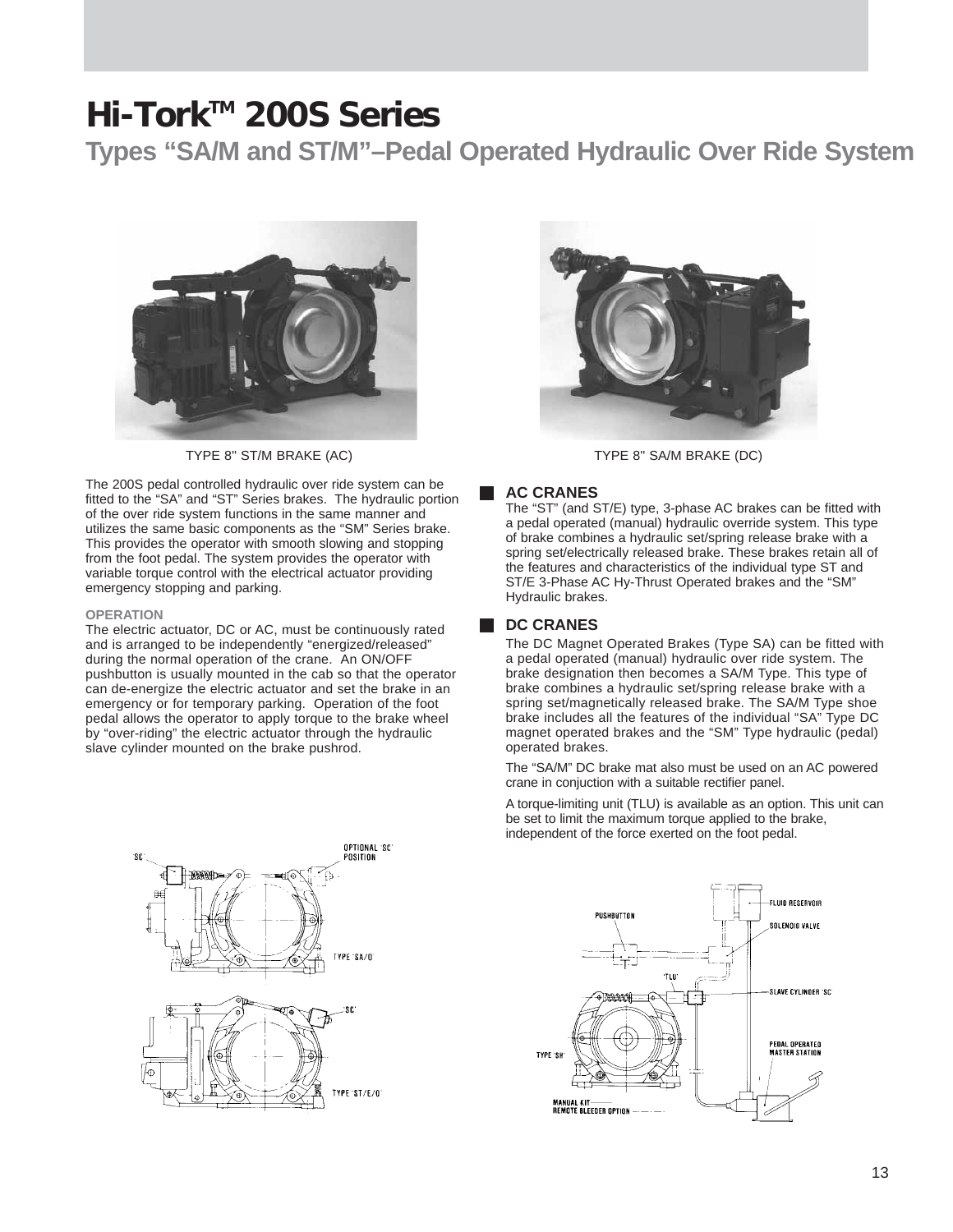**Types "SA/M and ST/M"–Pedal Operated Hydraulic Over Ride System** 



The 200S pedal controlled hydraulic over ride system can be fitted to the "SA" and "ST" Series brakes. The hydraulic portion of the over ride system functions in the same manner and utilizes the same basic components as the "SM" Series brake. This provides the operator with smooth slowing and stopping from the foot pedal. The system provides the operator with variable torque control with the electrical actuator providing emergency stopping and parking.

#### **OPERATION**

The electric actuator, DC or AC, must be continuously rated and is arranged to be independently "energized/released" during the normal operation of the crane. An ON/OFF pushbutton is usually mounted in the cab so that the operator can de-energize the electric actuator and set the brake in an emergency or for temporary parking. Operation of the foot pedal allows the operator to apply torque to the brake wheel by "over-riding" the electric actuator through the hydraulic slave cylinder mounted on the brake pushrod.



TYPE 8" ST/M BRAKE (AC) TYPE 8" SA/M BRAKE (DC)

#### **AC CRANES**

The "ST" (and ST/E) type, 3-phase AC brakes can be fitted with a pedal operated (manual) hydraulic override system. This type of brake combines a hydraulic set/spring release brake with a spring set/electrically released brake. These brakes retain all of the features and characteristics of the individual type ST and ST/E 3-Phase AC Hy-Thrust Operated brakes and the "SM" Hydraulic brakes.

#### **DC CRANES**

The DC Magnet Operated Brakes (Type SA) can be fitted with a pedal operated (manual) hydraulic over ride system. The brake designation then becomes a SA/M Type. This type of brake combines a hydraulic set/spring release brake with a spring set/magnetically released brake. The SA/M Type shoe brake includes all the features of the individual "SA" Type DC magnet operated brakes and the "SM" Type hydraulic (pedal) operated brakes.

The "SA/M" DC brake mat also must be used on an AC powered crane in conjuction with a suitable rectifier panel.

A torque-limiting unit (TLU) is available as an option. This unit can be set to limit the maximum torque applied to the brake, independent of the force exerted on the foot pedal.



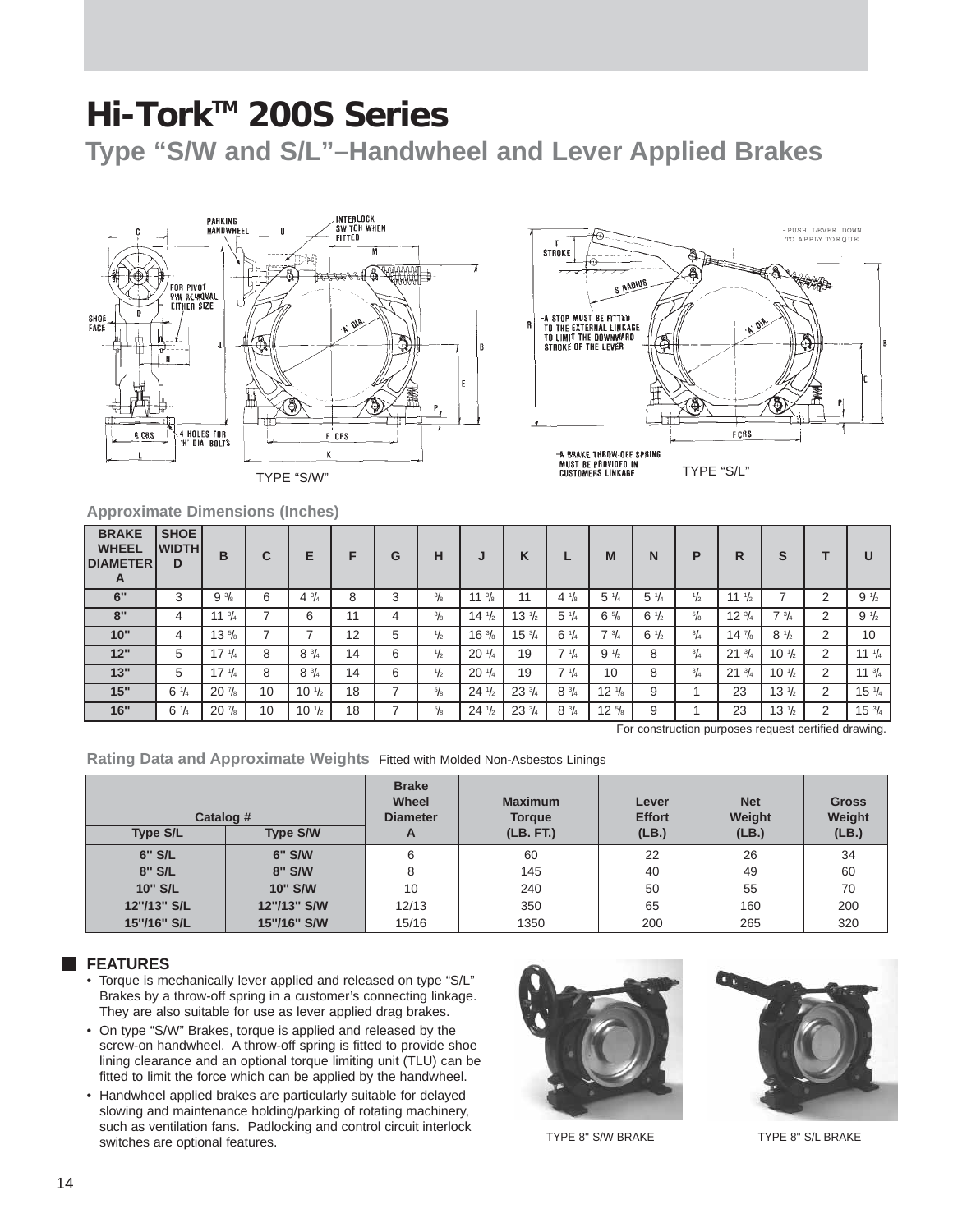**Type "S/W and S/L"–Handwheel and Lever Applied Brakes**





**Approximate Dimensions (Inches)**

| <b>BRAKE</b><br><b>WHEEL</b><br><b>DIAMETER</b><br>A | <b>SHOE</b><br><b>IWIDTHI</b><br>D | B                | C  | Е                              | F  | G | н             | IJ               | K                |                 | M                | N               | P             | R                | S                |   | U                |
|------------------------------------------------------|------------------------------------|------------------|----|--------------------------------|----|---|---------------|------------------|------------------|-----------------|------------------|-----------------|---------------|------------------|------------------|---|------------------|
| 6"                                                   | 3                                  | $9\frac{3}{8}$   | 6  | $4\frac{3}{4}$                 | 8  | 3 | $\frac{3}{8}$ | 11 $\frac{3}{8}$ | 11               | $4\frac{1}{8}$  | $5 \frac{1}{4}$  | $5 \frac{1}{4}$ | $\frac{1}{2}$ | 11 $\frac{1}{2}$ |                  | 2 | $9\frac{1}{2}$   |
| 8"                                                   | 4                                  | $11 \frac{3}{4}$ |    | 6                              | 11 | 4 | $\frac{3}{8}$ | $14\frac{1}{2}$  | $13 \frac{1}{2}$ | $5 \frac{1}{4}$ | $6\frac{5}{8}$   | $6\frac{1}{2}$  | $^{5}/_{8}$   | $12\frac{3}{4}$  | $7 \frac{3}{4}$  | 2 | $9\frac{1}{2}$   |
| 10"                                                  | 4                                  | $13 \frac{5}{8}$ |    |                                | 12 | 5 | $\frac{1}{2}$ | $16\frac{3}{8}$  | $15\frac{3}{4}$  | $6 \frac{1}{4}$ | $7 \frac{3}{4}$  | $6\frac{1}{2}$  | $^{3}/_{4}$   | $14\frac{7}{8}$  | $8 \frac{1}{2}$  | 2 | 10               |
| 12"                                                  | 5                                  | $17 \frac{1}{4}$ | 8  | $8\frac{3}{4}$                 | 14 | 6 | $\frac{1}{2}$ | $20\frac{1}{4}$  | 19               | $7 \frac{1}{4}$ | $9\frac{1}{2}$   | 8               | $^{3}/_{4}$   | $21 \frac{3}{4}$ | $10 \frac{1}{2}$ | 2 | $11 \frac{1}{4}$ |
| 13"                                                  | 5                                  | $17 \frac{1}{4}$ | 8  | $8 \frac{3}{4}$                | 14 | 6 | $\frac{1}{2}$ | $20\frac{1}{4}$  | 19               | $7 \frac{1}{4}$ | 10               | 8               | $^{3}/_{4}$   | $21 \frac{3}{4}$ | $10 \frac{1}{2}$ | 2 | $11 \frac{3}{4}$ |
| 15"                                                  | $6\frac{1}{4}$                     | $20\frac{7}{8}$  | 10 | $10 \frac{1}{2}$               | 18 |   | $\frac{5}{8}$ | $24\frac{1}{2}$  | $23\frac{3}{4}$  | $8 \frac{3}{4}$ | $12 \frac{1}{8}$ | 9               |               | 23               | $13 \frac{1}{2}$ | 2 | $15\frac{1}{4}$  |
| 16"                                                  | $6 \frac{1}{4}$                    | $20\frac{7}{8}$  | 10 | 10 <sup>1</sup> / <sub>2</sub> | 18 |   | $^{5}/_{8}$   | $24\frac{1}{2}$  | $23\frac{3}{4}$  | $8\frac{3}{4}$  | $12 \frac{5}{8}$ | 9               |               | 23               | $13 \frac{1}{2}$ | 2 | $15\frac{3}{4}$  |

For construction purposes request certified drawing.

**Rating Data and Approximate Weights** Fitted with Molded Non-Asbestos Linings

| Catalog #<br><b>Type S/L</b> | <b>Type S/W</b> | <b>Brake</b><br>Wheel<br><b>Diameter</b><br>A | <b>Maximum</b><br><b>Torque</b><br>(LB. FT.) | Lever<br><b>Effort</b><br>(LB.) | <b>Net</b><br>Weight<br>(LB.) | <b>Gross</b><br>Weight |
|------------------------------|-----------------|-----------------------------------------------|----------------------------------------------|---------------------------------|-------------------------------|------------------------|
|                              |                 |                                               |                                              |                                 |                               | (LB.)                  |
| 6" S/L                       | 6" S/W          | 6                                             | 60                                           | 22                              | 26                            | 34                     |
| 8" S/L                       | 8" S/W          | 8                                             | 145                                          | 40                              | 49                            | 60                     |
| <b>10" S/L</b>               | 10" S/W         | 10                                            | 240                                          | 50                              | 55                            | 70                     |
| 12"/13" S/L                  | 12"/13" S/W     | 12/13                                         | 350                                          | 65                              | 160                           | 200                    |
| 15"/16" S/L                  | 15"/16" S/W     | 15/16                                         | 1350                                         | 200                             | 265                           | 320                    |

#### **FEATURES**

- Torque is mechanically lever applied and released on type "S/L" Brakes by a throw-off spring in a customer's connecting linkage. They are also suitable for use as lever applied drag brakes.
- On type "S/W" Brakes, torque is applied and released by the screw-on handwheel. A throw-off spring is fitted to provide shoe lining clearance and an optional torque limiting unit (TLU) can be fitted to limit the force which can be applied by the handwheel.
- Handwheel applied brakes are particularly suitable for delayed slowing and maintenance holding/parking of rotating machinery, such as ventilation fans. Padlocking and control circuit interlock switches are optional features.<br>TYPE 8" S/W BRAKE





TYPE 8'' S/L BRAKE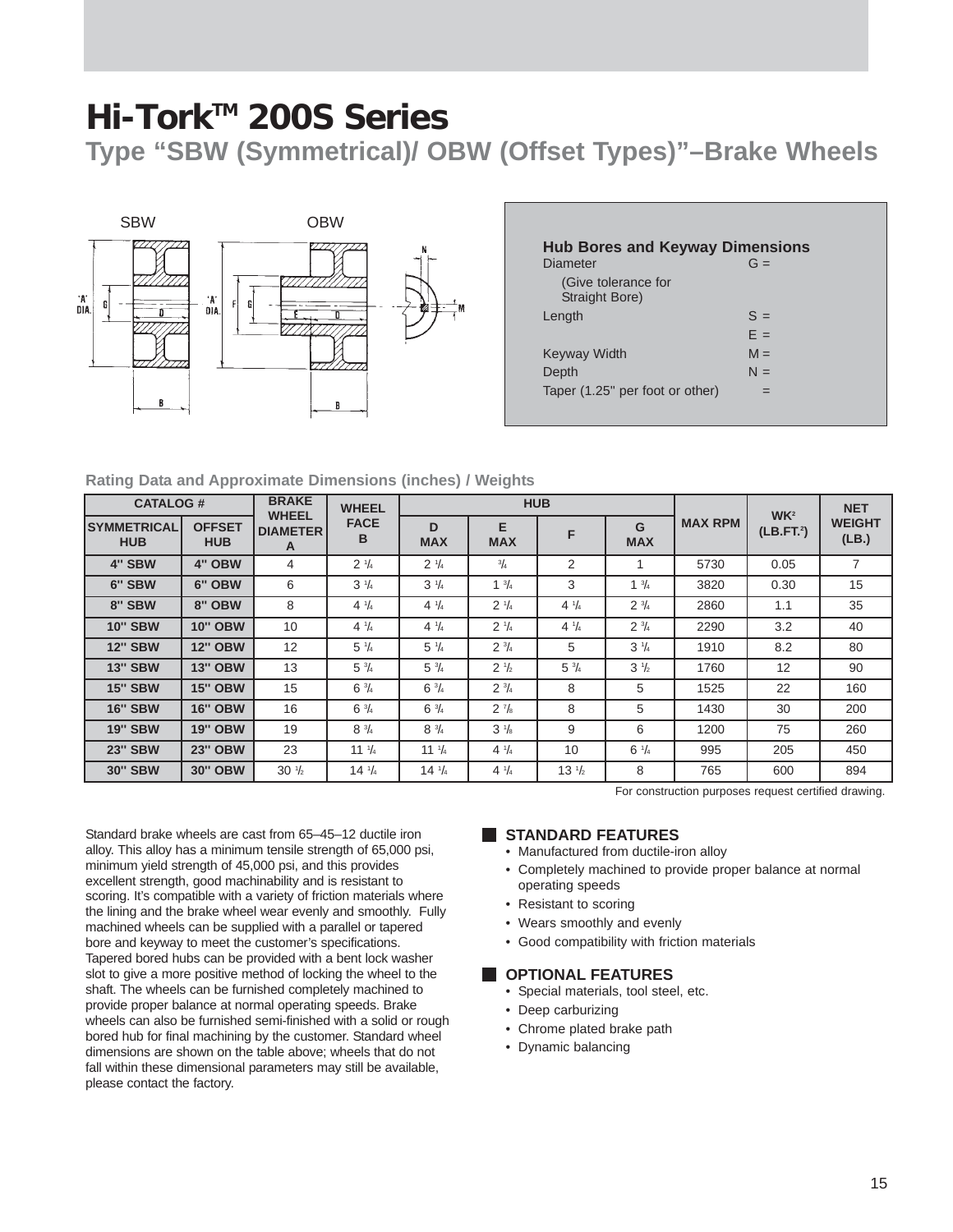**Type "SBW (Symmetrical)/ OBW (Offset Types)"–Brake Wheels**



| Diameter                              | $G =$ |
|---------------------------------------|-------|
| (Give tolerance for<br>Straight Bore) |       |
| Length                                | $S =$ |
|                                       | $F =$ |
| Keyway Width                          | $M =$ |
| Depth                                 | $N =$ |
| Taper (1.25" per foot or other)       |       |

#### **Rating Data and Approximate Dimensions (inches) / Weights**

| <b>CATALOG#</b>                  |                             | <b>BRAKE</b>                         | <b>WHEEL</b>     |                  |                      | <b>HUB</b>       |                 |                |                                          | <b>NET</b>             |
|----------------------------------|-----------------------------|--------------------------------------|------------------|------------------|----------------------|------------------|-----------------|----------------|------------------------------------------|------------------------|
| <b>SYMMETRICAL</b><br><b>HUB</b> | <b>OFFSET</b><br><b>HUB</b> | <b>WHEEL</b><br><b>DIAMETER</b><br>A | <b>FACE</b><br>в | D<br><b>MAX</b>  | E<br><b>MAX</b>      | F                | G<br><b>MAX</b> | <b>MAX RPM</b> | WK <sup>2</sup><br>(LB.FT <sup>2</sup> ) | <b>WEIGHT</b><br>(LB.) |
| 4" SBW                           | 4" OBW                      | 4                                    | $2 \frac{1}{4}$  | $2 \frac{1}{4}$  | $^{3}/_{4}$          | 2                | 1               | 5730           | 0.05                                     | 7                      |
| 6" SBW                           | 6" OBW                      | 6                                    | $3\frac{1}{4}$   | $3\frac{1}{4}$   | $1 \frac{3}{4}$      | 3                | $1 \frac{3}{4}$ | 3820           | 0.30                                     | 15                     |
| 8" SBW                           | 8" OBW                      | 8                                    | $4\frac{1}{4}$   | $4 \frac{1}{4}$  | $2 \frac{1}{4}$      | $4 \frac{1}{4}$  | $2 \frac{3}{4}$ | 2860           | 1.1                                      | 35                     |
| <b>10" SBW</b>                   | <b>10" OBW</b>              | 10                                   | $4 \frac{1}{4}$  | $4 \frac{1}{4}$  | $2 \frac{1}{4}$      | $4 \frac{1}{4}$  | $2 \frac{3}{4}$ | 2290           | 3.2                                      | 40                     |
| <b>12" SBW</b>                   | <b>12" OBW</b>              | 12                                   | $5\frac{1}{4}$   | $5\frac{1}{4}$   | $2 \frac{3}{4}$      | 5                | $3\frac{1}{4}$  | 1910           | 8.2                                      | 80                     |
| <b>13" SBW</b>                   | <b>13" OBW</b>              | 13                                   | $5\frac{3}{4}$   | $5\frac{3}{4}$   | $2 \frac{1}{2}$      | $5\frac{3}{4}$   | $3\frac{1}{2}$  | 1760           | 12                                       | 90                     |
| <b>15" SBW</b>                   | <b>15" OBW</b>              | 15                                   | $6\frac{3}{4}$   | $6\frac{3}{4}$   | $2 \frac{3}{4}$      | 8                | 5               | 1525           | 22                                       | 160                    |
| <b>16" SBW</b>                   | <b>16" OBW</b>              | 16                                   | $6\frac{3}{4}$   | $6\frac{3}{4}$   | $2^7$ / <sub>8</sub> | 8                | 5               | 1430           | 30                                       | 200                    |
| <b>19" SBW</b>                   | <b>19" OBW</b>              | 19                                   | $8 \frac{3}{4}$  | $8 \frac{3}{4}$  | $3\frac{1}{8}$       | 9                | 6               | 1200           | 75                                       | 260                    |
| <b>23" SBW</b>                   | <b>23" OBW</b>              | 23                                   | $11 \frac{1}{4}$ | $11 \frac{1}{4}$ | $4 \frac{1}{4}$      | 10               | $6 \frac{1}{4}$ | 995            | 205                                      | 450                    |
| <b>30" SBW</b>                   | <b>30" OBW</b>              | $30\frac{1}{2}$                      | $14 \frac{1}{4}$ | $14 \frac{1}{4}$ | $4 \frac{1}{4}$      | $13 \frac{1}{2}$ | 8               | 765            | 600                                      | 894                    |

For construction purposes request certified drawing.

Standard brake wheels are cast from 65–45–12 ductile iron alloy. This alloy has a minimum tensile strength of 65,000 psi, minimum yield strength of 45,000 psi, and this provides excellent strength, good machinability and is resistant to scoring. It's compatible with a variety of friction materials where the lining and the brake wheel wear evenly and smoothly. Fully machined wheels can be supplied with a parallel or tapered bore and keyway to meet the customer's specifications. Tapered bored hubs can be provided with a bent lock washer slot to give a more positive method of locking the wheel to the shaft. The wheels can be furnished completely machined to provide proper balance at normal operating speeds. Brake wheels can also be furnished semi-finished with a solid or rough bored hub for final machining by the customer. Standard wheel dimensions are shown on the table above; wheels that do not fall within these dimensional parameters may still be available, please contact the factory.

#### **STANDARD FEATURES**

- Manufactured from ductile-iron alloy
- Completely machined to provide proper balance at normal operating speeds
- Resistant to scoring
- Wears smoothly and evenly
- Good compatibility with friction materials

#### **COPTIONAL FEATURES**

- Special materials, tool steel, etc.
- Deep carburizing
- Chrome plated brake path
- Dynamic balancing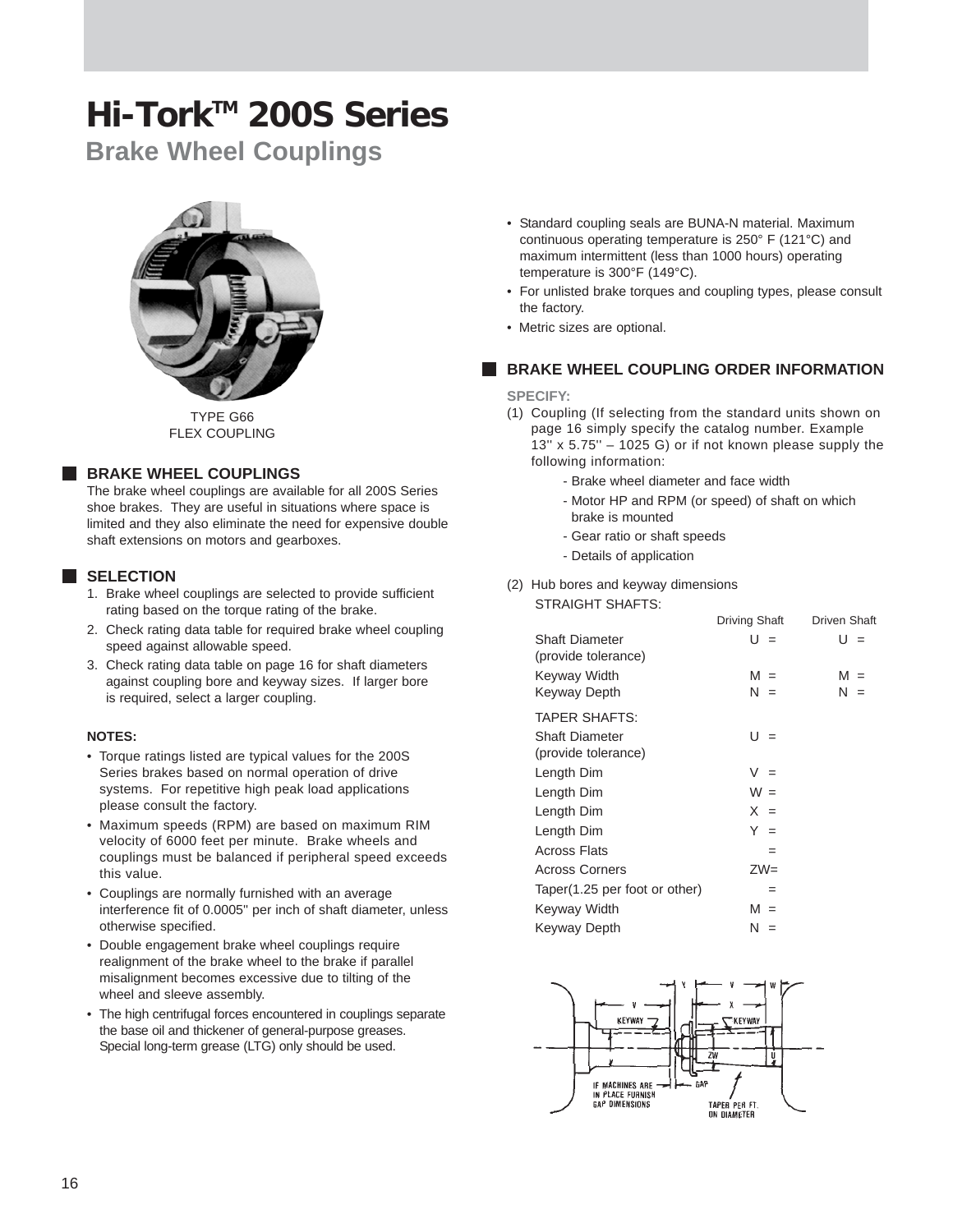**Brake Wheel Couplings**



TYPE G66 FLEX COUPLING

#### **BRAKE WHEEL COUPLINGS**

The brake wheel couplings are available for all 200S Series shoe brakes. They are useful in situations where space is limited and they also eliminate the need for expensive double shaft extensions on motors and gearboxes.

#### **SELECTION**

- 1. Brake wheel couplings are selected to provide sufficient rating based on the torque rating of the brake.
- 2. Check rating data table for required brake wheel coupling speed against allowable speed.
- 3. Check rating data table on page 16 for shaft diameters against coupling bore and keyway sizes. If larger bore is required, select a larger coupling.

#### **NOTES:**

- Torque ratings listed are typical values for the 200S Series brakes based on normal operation of drive systems. For repetitive high peak load applications please consult the factory.
- Maximum speeds (RPM) are based on maximum RIM velocity of 6000 feet per minute. Brake wheels and couplings must be balanced if peripheral speed exceeds this value.
- Couplings are normally furnished with an average interference fit of 0.0005'' per inch of shaft diameter, unless otherwise specified.
- Double engagement brake wheel couplings require realignment of the brake wheel to the brake if parallel misalignment becomes excessive due to tilting of the wheel and sleeve assembly.
- The high centrifugal forces encountered in couplings separate the base oil and thickener of general-purpose greases. Special long-term grease (LTG) only should be used.
- Standard coupling seals are BUNA-N material. Maximum continuous operating temperature is 250° F (121°C) and maximum intermittent (less than 1000 hours) operating temperature is 300°F (149°C).
- For unlisted brake torques and coupling types, please consult the factory.
- Metric sizes are optional.

#### **BRAKE WHEEL COUPLING ORDER INFORMATION**

#### **SPECIFY:**

- (1) Coupling (If selecting from the standard units shown on page 16 simply specify the catalog number. Example 13'' x 5.75'' – 1025 G) or if not known please supply the following information:
	- Brake wheel diameter and face width
	- Motor HP and RPM (or speed) of shaft on which brake is mounted
	- Gear ratio or shaft speeds
	- Details of application
- (2) Hub bores and keyway dimensions STRAIGHT SHAFTS:

|                                       | Driving Shaft | <b>Driven Shaft</b> |
|---------------------------------------|---------------|---------------------|
| Shaft Diameter<br>(provide tolerance) | $U =$         | U =                 |
| Keyway Width                          | $M =$         | $M =$               |
| Keyway Depth                          | $N =$         | N =                 |
| <b>TAPER SHAFTS:</b>                  |               |                     |
| Shaft Diameter                        | $U =$         |                     |
| (provide tolerance)                   |               |                     |
| Length Dim                            | $V =$         |                     |
| Length Dim                            | $W =$         |                     |
| Length Dim                            | $X =$         |                     |
| Length Dim                            | $Y =$         |                     |
| <b>Across Flats</b>                   | $=$           |                     |
| <b>Across Corners</b>                 | $ZW =$        |                     |
| Taper(1.25 per foot or other)         | $=$           |                     |
| Keyway Width                          | $M =$         |                     |
| Keyway Depth                          | N =           |                     |

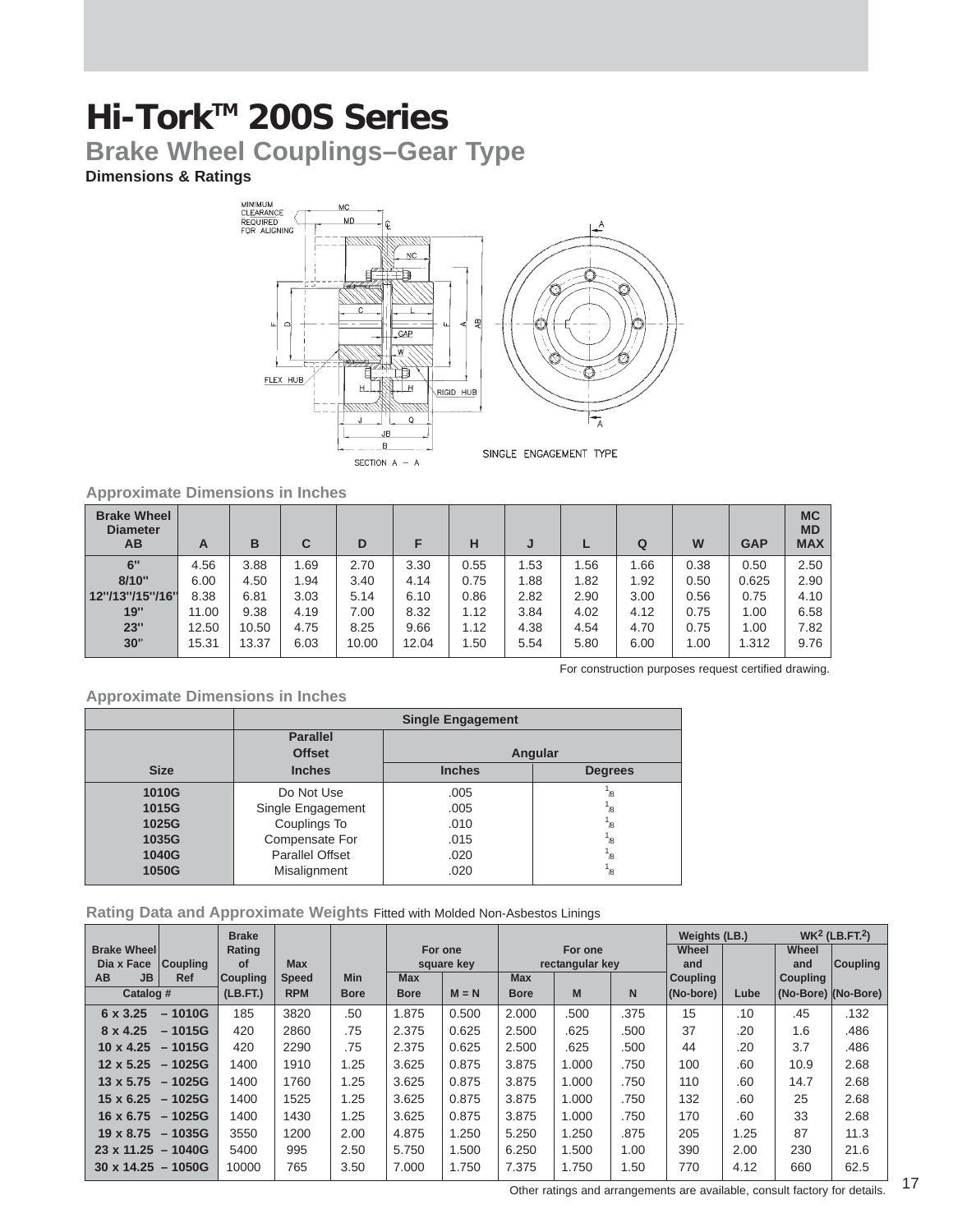**Brake Wheel Couplings–Gear Type**

#### **Dimensions & Ratings**



#### **Approximate Dimensions in Inches**

| <b>Brake Wheel</b><br><b>Diameter</b><br>AВ | A     | B     | С    | D     | F     | н    | J    |      | Q    | W    | <b>GAP</b> | <b>MC</b><br><b>MD</b><br><b>MAX</b> |
|---------------------------------------------|-------|-------|------|-------|-------|------|------|------|------|------|------------|--------------------------------------|
| 6"                                          | 4.56  | 3.88  | 1.69 | 2.70  | 3.30  | 0.55 | 1.53 | 1.56 | 1.66 | 0.38 | 0.50       | 2.50                                 |
| 8/10"                                       | 6.00  | 4.50  | 1.94 | 3.40  | 4.14  | 0.75 | 1.88 | 1.82 | 1.92 | 0.50 | 0.625      | 2.90                                 |
| 12"/13"/15"/16"                             | 8.38  | 6.81  | 3.03 | 5.14  | 6.10  | 0.86 | 2.82 | 2.90 | 3.00 | 0.56 | 0.75       | 4.10                                 |
| 19"                                         | 11.00 | 9.38  | 4.19 | 7.00  | 8.32  | 1.12 | 3.84 | 4.02 | 4.12 | 0.75 | 1.00       | 6.58                                 |
| 23"                                         | 12.50 | 10.50 | 4.75 | 8.25  | 9.66  | 1.12 | 4.38 | 4.54 | 4.70 | 0.75 | 1.00       | 7.82                                 |
| 30"                                         | 15.31 | 13.37 | 6.03 | 10.00 | 12.04 | 1.50 | 5.54 | 5.80 | 6.00 | 1.00 | 1.312      | 9.76                                 |

For construction purposes request certified drawing.

#### **Approximate Dimensions in Inches**

|             |                   | <b>Single Engagement</b> |                          |  |  |  |
|-------------|-------------------|--------------------------|--------------------------|--|--|--|
|             | <b>Parallel</b>   |                          |                          |  |  |  |
|             | <b>Offset</b>     |                          | Angular                  |  |  |  |
| <b>Size</b> | <b>Inches</b>     | <b>Inches</b>            | <b>Degrees</b>           |  |  |  |
| 1010G       | Do Not Use        | .005                     | $\overline{\mathcal{B}}$ |  |  |  |
| 1015G       | Single Engagement | .005                     | $\overline{\mathcal{B}}$ |  |  |  |
| 1025G       | Couplings To      | .010                     | /8                       |  |  |  |
| 1035G       | Compensate For    | .015                     | $\overline{\mathcal{B}}$ |  |  |  |
| 1040G       | Parallel Offset   | .020                     | $\overline{\mathcal{B}}$ |  |  |  |
| 1050G       | Misalignment      | .020                     | /8                       |  |  |  |

#### **Rating Data and Approximate Weights** Fitted with Molded Non-Asbestos Linings

|                                  |                 | <b>Brake</b>    |              |             |             |                       |             |                            |      | Weights (LB.)   |      | $WK2$ (LB.FT. <sup>2</sup> ) |                 |  |
|----------------------------------|-----------------|-----------------|--------------|-------------|-------------|-----------------------|-------------|----------------------------|------|-----------------|------|------------------------------|-----------------|--|
| <b>Brake Wheel</b><br>Dia x Face | <b>Coupling</b> | Rating<br>οf    | <b>Max</b>   |             |             | For one<br>square key |             | For one<br>rectangular key |      | Wheel<br>and    |      | Wheel<br>and                 | <b>Coupling</b> |  |
| <b>AB</b><br><b>JB</b>           | <b>Ref</b>      | <b>Coupling</b> | <b>Speed</b> | <b>Min</b>  | <b>Max</b>  |                       | <b>Max</b>  |                            |      | <b>Coupling</b> |      | <b>Coupling</b>              |                 |  |
| Catalog #                        |                 | (LB.FT.)        | <b>RPM</b>   | <b>Bore</b> | <b>Bore</b> | $M = N$               | <b>Bore</b> | M                          | N.   | (No-bore)       | Lube | (No-Bore) (No-Bore)          |                 |  |
| 6 x 3.25                         | $-1010G$        | 185             | 3820         | .50         | 1.875       | 0.500                 | 2.000       | .500                       | .375 | 15              | .10  | .45                          | .132            |  |
| 8 x 4.25                         | $-1015G$        | 420             | 2860         | .75         | 2.375       | 0.625                 | 2.500       | .625                       | .500 | 37              | .20  | 1.6                          | .486            |  |
| $10 \times 4.25$                 | $-1015G$        | 420             | 2290         | .75         | 2.375       | 0.625                 | 2.500       | .625                       | .500 | 44              | .20  | 3.7                          | .486            |  |
| $12 \times 5.25$                 | $-1025G$        | 1400            | 1910         | 1.25        | 3.625       | 0.875                 | 3.875       | 1.000                      | .750 | 100             | .60  | 10.9                         | 2.68            |  |
| $13 \times 5.75$                 | $-1025G$        | 1400            | 1760         | 1.25        | 3.625       | 0.875                 | 3.875       | 1.000                      | .750 | 110             | .60  | 14.7                         | 2.68            |  |
| $15 \times 6.25$                 | $-1025G$        | 1400            | 1525         | 1.25        | 3.625       | 0.875                 | 3.875       | 1.000                      | .750 | 132             | .60  | 25                           | 2.68            |  |
| 16 x 6.75                        | $-1025G$        | 1400            | 1430         | 1.25        | 3.625       | 0.875                 | 3.875       | 1.000                      | .750 | 170             | .60  | 33                           | 2.68            |  |
| $19 \times 8.75$                 | $-1035G$        | 3550            | 1200         | 2.00        | 4.875       | 1.250                 | 5.250       | 1.250                      | .875 | 205             | 1.25 | 87                           | 11.3            |  |
| $23 \times 11.25 - 1040G$        |                 | 5400            | 995          | 2.50        | 5.750       | 1.500                 | 6.250       | 1.500                      | 1.00 | 390             | 2.00 | 230                          | 21.6            |  |
| $30 \times 14.25 - 1050$ G       |                 | 10000           | 765          | 3.50        | 7.000       | 1.750                 | 7.375       | 1.750                      | 1.50 | 770             | 4.12 | 660                          | 62.5            |  |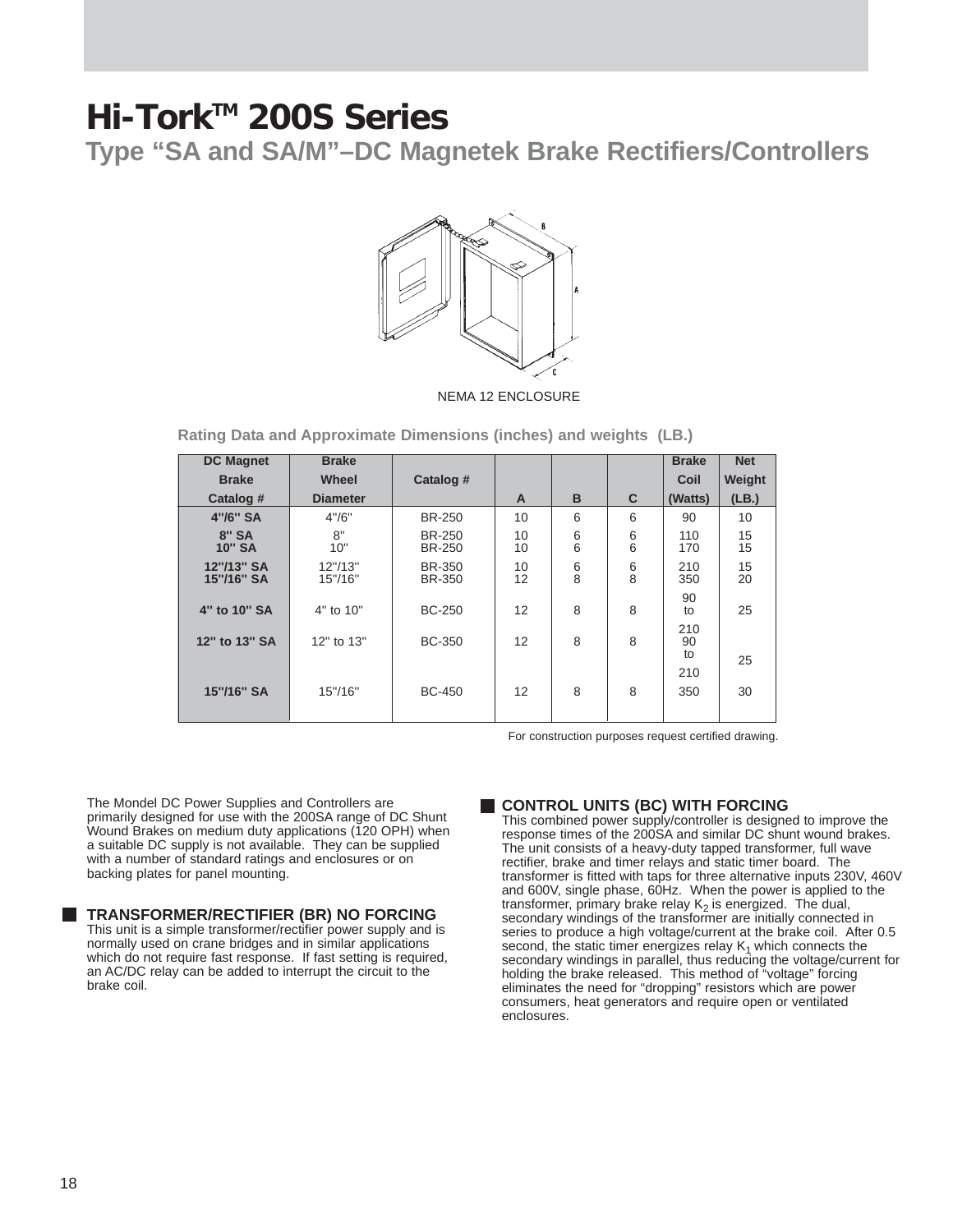**Type "SA and SA/M"–DC Magnetek Brake Rectifiers/Controllers**



NEMA 12 ENCLOSURE

**Rating Data and Approximate Dimensions (inches) and weights (LB.)**

| <b>DC Magnet</b>         | <b>Brake</b>         |                                |              |                                       |        | <b>Brake</b>    | <b>Net</b> |
|--------------------------|----------------------|--------------------------------|--------------|---------------------------------------|--------|-----------------|------------|
| <b>Brake</b>             | <b>Wheel</b>         | Catalog #                      |              |                                       |        | Coil            | Weight     |
| Catalog #                | <b>Diameter</b>      |                                | $\mathsf{A}$ | B                                     | C      | (Watts)         | (LB.)      |
| 4"/6" SA                 | 4''/6''              | <b>BR-250</b>                  | 10           | 6                                     | 6      | 90              | 10         |
| $8"$ SA<br><b>10" SA</b> | 8"<br>10"            | <b>BR-250</b><br><b>BR-250</b> | 10<br>10     | 6<br>6                                | 6<br>6 | 110<br>170      | 15<br>15   |
| 12"/13" SA<br>15"/16" SA | 12''/13''<br>15"/16" | BR-350<br><b>BR-350</b>        | 10<br>12     | $\begin{array}{c} 6 \\ 8 \end{array}$ | 6<br>8 | 210<br>350      | 15<br>20   |
| 4" to 10" SA             | 4" to 10"            | <b>BC-250</b>                  | 12           | 8                                     | 8      | 90<br>to        | 25         |
| 12" to 13" SA            | 12" to 13"           | <b>BC-350</b>                  | 12           | 8                                     | 8      | 210<br>90<br>to | 25         |
| 15"/16" SA               | 15"/16"              | <b>BC-450</b>                  | 12           | 8                                     | 8      | 210<br>350      | 30         |

For construction purposes request certified drawing.

The Mondel DC Power Supplies and Controllers are primarily designed for use with the 200SA range of DC Shunt Wound Brakes on medium duty applications (120 OPH) when a suitable DC supply is not available. They can be supplied with a number of standard ratings and enclosures or on backing plates for panel mounting.

**TRANSFORMER/RECTIFIER (BR) NO FORCING**

This unit is a simple transformer/rectifier power supply and is normally used on crane bridges and in similar applications which do not require fast response. If fast setting is required, an AC/DC relay can be added to interrupt the circuit to the brake coil.

#### **CONTROL UNITS (BC) WITH FORCING**

This combined power supply/controller is designed to improve the response times of the 200SA and similar DC shunt wound brakes. The unit consists of a heavy-duty tapped transformer, full wave rectifier, brake and timer relays and static timer board. The transformer is fitted with taps for three alternative inputs 230V, 460V and 600V, single phase, 60Hz. When the power is applied to the transformer, primary brake relay  $K_2$  is energized. The dual, secondary windings of the transformer are initially connected in series to produce a high voltage/current at the brake coil. After 0.5 second, the static timer energizes relay  $K_1$  which connects the secondary windings in parallel, thus reducing the voltage/current for holding the brake released. This method of "voltage" forcing eliminates the need for "dropping" resistors which are power consumers, heat generators and require open or ventilated enclosures.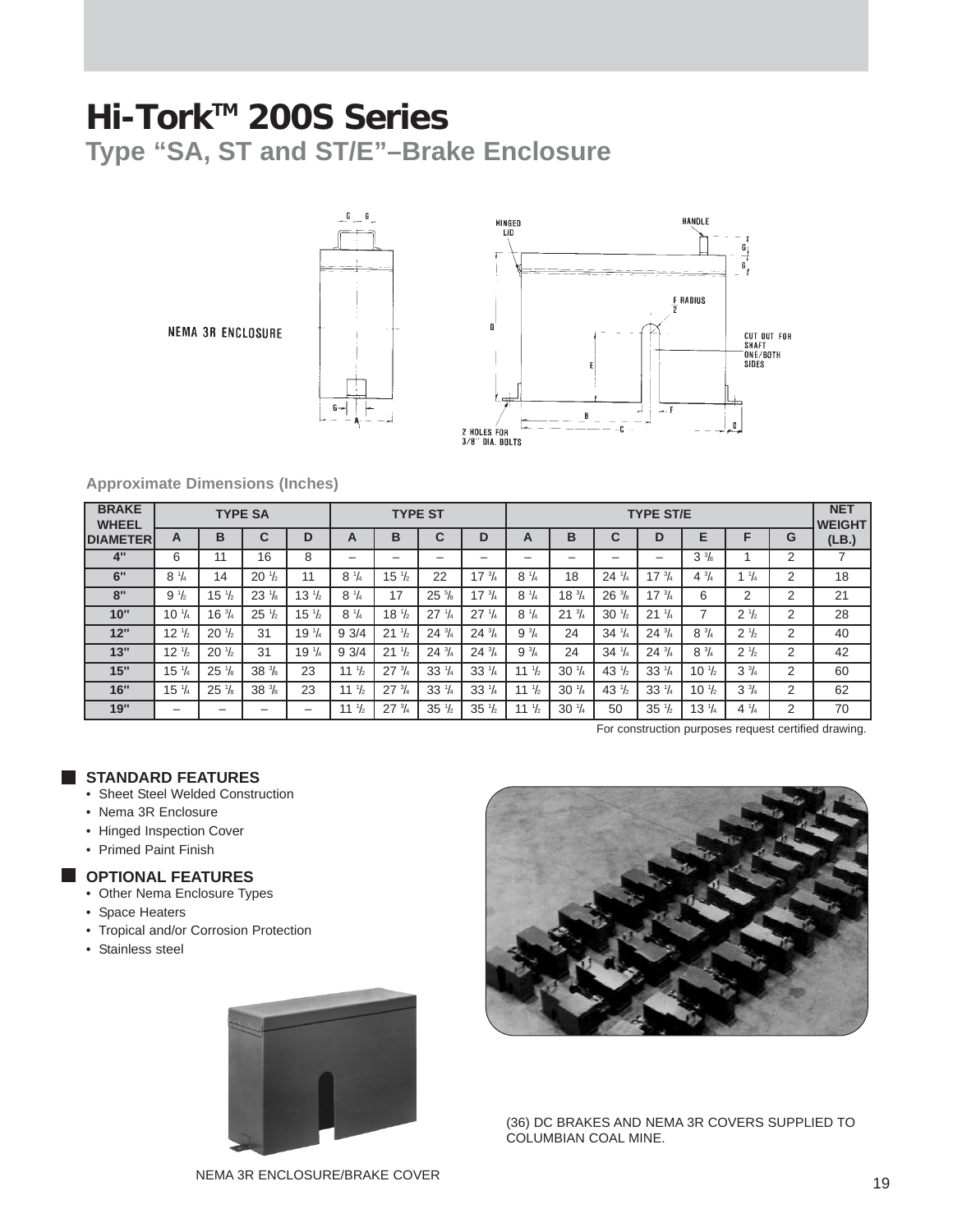**Type "SA, ST and ST/E"–Brake Enclosure**

NEMA 3R ENCLOSURE





#### **Approximate Dimensions (Inches)**

| <b>BRAKE</b><br><b>WHEEL</b><br><b>DIAMETER</b> | <b>TYPE SA</b>   |                  |                                  |                                | <b>TYPE ST</b>   |                  |                 |                  | <b>TYPE ST/E</b> |                   |                 |                     |                  |                               |   | <b>NET</b><br><b>WEIGHT</b> |
|-------------------------------------------------|------------------|------------------|----------------------------------|--------------------------------|------------------|------------------|-----------------|------------------|------------------|-------------------|-----------------|---------------------|------------------|-------------------------------|---|-----------------------------|
|                                                 | A                | B                | $\sim$<br>u                      | D                              | A                | B                | ⌒               | D                | A                | B                 | $\sim$<br>u     | D                   | E                | Е                             | G | (LB.)                       |
| 4"                                              | 6                | 44               | 16                               | 8                              |                  | -                | -               | -                | -                | -                 | -               | -                   | $3\frac{3}{8}$   |                               | 2 |                             |
| 6"                                              | $8 \frac{1}{4}$  | 14               | $20\frac{1}{2}$                  | 11                             | $8 \frac{1}{4}$  | $15 \frac{1}{2}$ | 22              | $17 \frac{3}{4}$ | $8 \frac{1}{4}$  | 18                | $24\frac{1}{4}$ | $17 \frac{3}{4}$    | $4\frac{3}{4}$   | $1 \frac{1}{4}$               | ↷ | 18                          |
| 8"                                              | $9\frac{1}{2}$   | $15 \frac{1}{2}$ | 23 <sup>1</sup><br>$\frac{1}{8}$ | $13 \frac{1}{2}$               | $8 \frac{1}{4}$  | 17               | $25\frac{5}{8}$ | $17 \frac{3}{4}$ | $8 \frac{1}{4}$  | $18 \frac{3}{4}$  | $26\frac{3}{8}$ | $17 \frac{3}{4}$    | 6                | C                             | ⌒ | 21                          |
| 10"                                             | $10 \frac{1}{4}$ | $16 \frac{3}{4}$ | $25\frac{1}{2}$                  | $15 \frac{1}{2}$               | $8 \frac{1}{4}$  | $18 \frac{1}{2}$ | $27\frac{1}{4}$ | $27 \frac{1}{4}$ | $8 \frac{1}{4}$  | $^{3}/_{4}$<br>21 | $30\frac{1}{2}$ | 21<br>$\frac{1}{4}$ |                  | $2 \frac{1}{2}$               | C | 28                          |
| 12"                                             | $12 \frac{1}{2}$ | $20\frac{1}{2}$  | 31                               | 19 <sup>1</sup> / <sub>4</sub> | 93/4             | $21\frac{1}{2}$  | $24\frac{3}{4}$ | $24\frac{3}{4}$  | $9^{3}/4$        | 24                | $34\frac{1}{4}$ | $24\frac{3}{4}$     | $8\frac{3}{4}$   | 2 <sup>1</sup> / <sub>2</sub> | C | 40                          |
| 13"                                             | $12 \frac{1}{2}$ | $20\frac{1}{2}$  | 31                               | 19 <sup>1</sup> / <sub>4</sub> | 93/4             | $21 \frac{1}{2}$ | $24\frac{3}{4}$ | $24\frac{3}{4}$  | $9\frac{3}{4}$   | 24                | $34\frac{1}{4}$ | $24\frac{3}{4}$     | $8\frac{3}{4}$   | 2 <sup>1</sup> / <sub>2</sub> | ⌒ | 42                          |
| 15"                                             | $15 \frac{1}{4}$ | $25\frac{1}{8}$  | $38\frac{3}{8}$                  | 23                             | $1 \frac{1}{2}$  | $27 \frac{3}{4}$ | $33\frac{1}{4}$ | $33\frac{1}{4}$  | 11 $\frac{1}{2}$ | $30\frac{1}{4}$   | $43\frac{1}{2}$ | $33 \frac{1}{4}$    | $10 \frac{1}{2}$ | $3\frac{3}{4}$                | C | 60                          |
| 16"                                             | $15 \frac{1}{4}$ | 25 <sup>1</sup>  | $38\frac{3}{8}$                  | 23                             | 11 $\frac{1}{2}$ | $27 \frac{3}{4}$ | $33\frac{1}{4}$ | $33\frac{1}{4}$  | 11 $\frac{1}{2}$ | $30\frac{1}{4}$   | $43\frac{1}{2}$ | $33 \frac{1}{4}$    | $10 \frac{1}{2}$ | 3 <sup>3</sup> / <sub>4</sub> | 2 | 62                          |
| 19"                                             | -                | -                |                                  | -                              | 11 $\frac{1}{2}$ | $27\frac{3}{4}$  | $35\frac{1}{2}$ | $35\frac{1}{2}$  | 11 $\frac{1}{2}$ | $30\frac{1}{4}$   | 50              | $35\frac{1}{2}$     | $13 \frac{1}{4}$ | $4\frac{1}{4}$                | っ | 70                          |

For construction purposes request certified drawing.

#### **STANDARD FEATURES**

- Sheet Steel Welded Construction
- Nema 3R Enclosure
- Hinged Inspection Cover
- Primed Paint Finish

#### **OPTIONAL FEATURES**

- Other Nema Enclosure Types
- Space Heaters
- Tropical and/or Corrosion Protection
- Stainless steel





(36) DC BRAKES AND NEMA 3R COVERS SUPPLIED TO COLUMBIAN COAL MINE.

NEMA 3R ENCLOSURE/BRAKE COVER